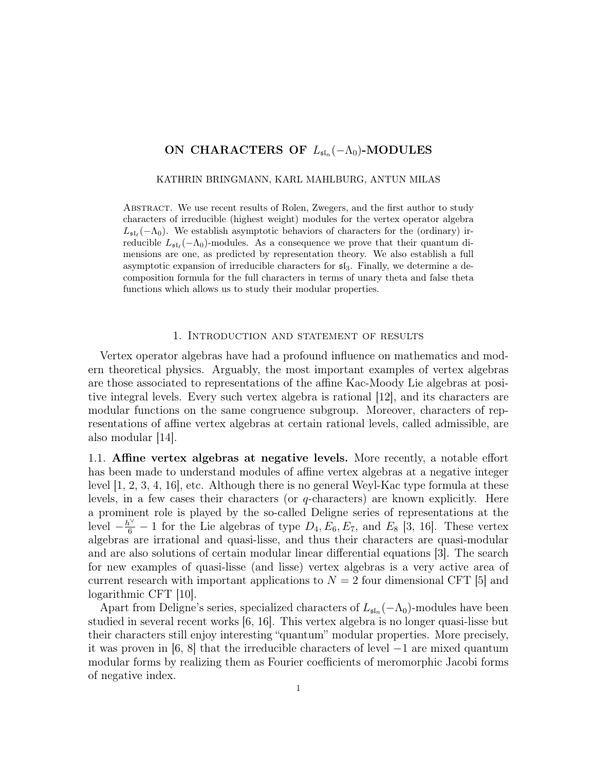# ON CHARACTERS OF  $L_{\mathfrak{sl}_n}(-\Lambda_0)$ -MODULES

#### KATHRIN BRINGMANN, KARL MAHLBURG, ANTUN MILAS

Abstract. We use recent results of Rolen, Zwegers, and the first author to study characters of irreducible (highest weight) modules for the vertex operator algebra  $L_{\mathfrak{sl}_\ell}(-\Lambda_0)$ . We establish asymptotic behaviors of characters for the (ordinary) irreducible  $L_{\mathfrak{sl}_{\ell}}(-\Lambda_0)$ -modules. As a consequence we prove that their quantum dimensions are one, as predicted by representation theory. We also establish a full asymptotic expansion of irreducible characters for  $\mathfrak{sl}_3$ . Finally, we determine a decomposition formula for the full characters in terms of unary theta and false theta functions which allows us to study their modular properties.

### 1. Introduction and statement of results

Vertex operator algebras have had a profound influence on mathematics and modern theoretical physics. Arguably, the most important examples of vertex algebras are those associated to representations of the affine Kac-Moody Lie algebras at positive integral levels. Every such vertex algebra is rational [12], and its characters are modular functions on the same congruence subgroup. Moreover, characters of representations of affine vertex algebras at certain rational levels, called admissible, are also modular [14].

1.1. Affine vertex algebras at negative levels. More recently, a notable effort has been made to understand modules of affine vertex algebras at a negative integer level [1, 2, 3, 4, 16], etc. Although there is no general Weyl-Kac type formula at these levels, in a few cases their characters (or q-characters) are known explicitly. Here a prominent role is played by the so-called Deligne series of representations at the level  $-\frac{h^{\vee}}{6} - 1$  for the Lie algebras of type  $D_4, E_6, E_7$ , and  $E_8$  [3, 16]. These vertex algebras are irrational and quasi-lisse, and thus their characters are quasi-modular and are also solutions of certain modular linear differential equations [3]. The search for new examples of quasi-lisse (and lisse) vertex algebras is a very active area of current research with important applications to  $N = 2$  four dimensional CFT [5] and logarithmic CFT [10].

Apart from Deligne's series, specialized characters of  $L_{\mathfrak{sl}_n}(-\Lambda_0)$ -modules have been studied in several recent works [6, 16]. This vertex algebra is no longer quasi-lisse but their characters still enjoy interesting "quantum" modular properties. More precisely, it was proven in [6, 8] that the irreducible characters of level −1 are mixed quantum modular forms by realizing them as Fourier coefficients of meromorphic Jacobi forms of negative index.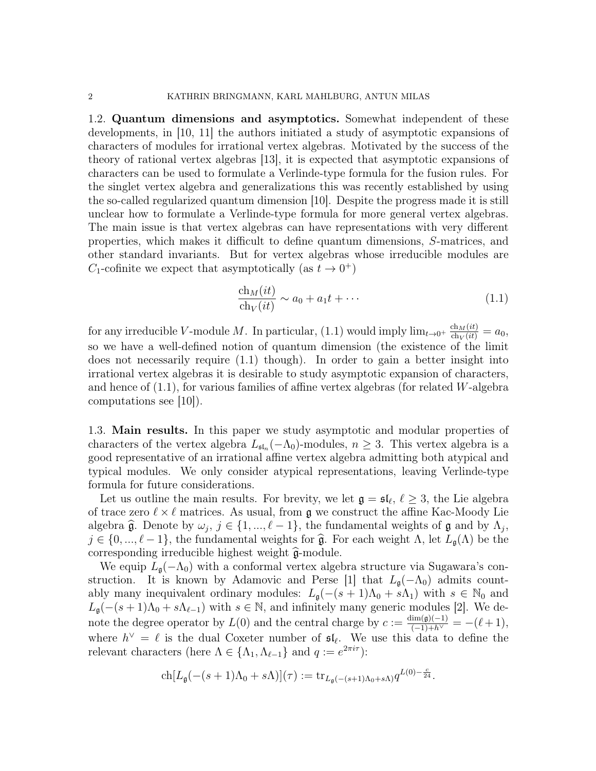1.2. Quantum dimensions and asymptotics. Somewhat independent of these developments, in [10, 11] the authors initiated a study of asymptotic expansions of characters of modules for irrational vertex algebras. Motivated by the success of the theory of rational vertex algebras [13], it is expected that asymptotic expansions of characters can be used to formulate a Verlinde-type formula for the fusion rules. For the singlet vertex algebra and generalizations this was recently established by using the so-called regularized quantum dimension [10]. Despite the progress made it is still unclear how to formulate a Verlinde-type formula for more general vertex algebras. The main issue is that vertex algebras can have representations with very different properties, which makes it difficult to define quantum dimensions, S-matrices, and other standard invariants. But for vertex algebras whose irreducible modules are  $C_1$ -cofinite we expect that asymptotically (as  $t \to 0^+$ )

$$
\frac{\text{ch}_M(it)}{\text{ch}_V(it)} \sim a_0 + a_1 t + \cdots \tag{1.1}
$$

for any irreducible V-module M. In particular, (1.1) would imply  $\lim_{t\to 0^+} \frac{\text{ch}_M(it)}{\text{ch}_V(it)} = a_0$ , so we have a well-defined notion of quantum dimension (the existence of the limit does not necessarily require (1.1) though). In order to gain a better insight into irrational vertex algebras it is desirable to study asymptotic expansion of characters, and hence of  $(1.1)$ , for various families of affine vertex algebras (for related W-algebra computations see [10]).

1.3. Main results. In this paper we study asymptotic and modular properties of characters of the vertex algebra  $L_{\mathfrak{sl}_n}(-\Lambda_0)$ -modules,  $n \geq 3$ . This vertex algebra is a good representative of an irrational affine vertex algebra admitting both atypical and typical modules. We only consider atypical representations, leaving Verlinde-type formula for future considerations.

Let us outline the main results. For brevity, we let  $\mathfrak{g} = \mathfrak{sl}_{\ell}, \ell \geq 3$ , the Lie algebra of trace zero  $\ell \times \ell$  matrices. As usual, from  $\mathfrak g$  we construct the affine Kac-Moody Lie algebra  $\hat{\mathfrak{g}}$ . Denote by  $\omega_j$ ,  $j \in \{1, ..., \ell - 1\}$ , the fundamental weights of  $\mathfrak{g}$  and by  $\Lambda_j$ ,<br> $i \in \{0, ..., \ell - 1\}$ , the fundamental weights for  $\hat{\mathfrak{g}}$ . For each weight  $\Lambda$ , let  $I_{\ell}(\Lambda)$  be the  $j \in \{0, ..., \ell - 1\}$ , the fundamental weights for  $\hat{\mathfrak{g}}$ . For each weight  $\Lambda$ , let  $L_{\mathfrak{g}}(\Lambda)$  be the corresponding irreducible highest weight  $\widehat{\mathfrak{g}}$ -module.

We equip  $L_{\mathfrak{g}}(-\Lambda_0)$  with a conformal vertex algebra structure via Sugawara's construction. It is known by Adamovic and Perse [1] that  $L_{\mathfrak{g}}(-\Lambda_0)$  admits countably many inequivalent ordinary modules:  $L_q(-(s+1)\Lambda_0 + s\Lambda_1)$  with  $s \in \mathbb{N}_0$  and  $L_{\mathfrak{g}}(-(s+1)\Lambda_0 + s\Lambda_{\ell-1})$  with  $s \in \mathbb{N}$ , and infinitely many generic modules [2]. We denote the degree operator by  $L(0)$  and the central charge by  $c := \frac{\dim(\mathfrak{g})(-1)}{(-1)+h^{\vee}} = -(\ell+1)$ , where  $h^{\vee} = \ell$  is the dual Coxeter number of  $\mathfrak{sl}_{\ell}$ . We use this data to define the relevant characters (here  $\Lambda \in {\Lambda_1, \Lambda_{\ell-1}}$  and  $q := e^{2\pi i \tau}$ ):

$$
\operatorname{ch} [L_{\mathfrak{g}}(-(s+1)\Lambda_0+s\Lambda)](\tau):=\operatorname{tr}_{L_{\mathfrak{g}}(-(s+1)\Lambda_0+s\Lambda)}q^{L(0)-\frac{c}{24}}.
$$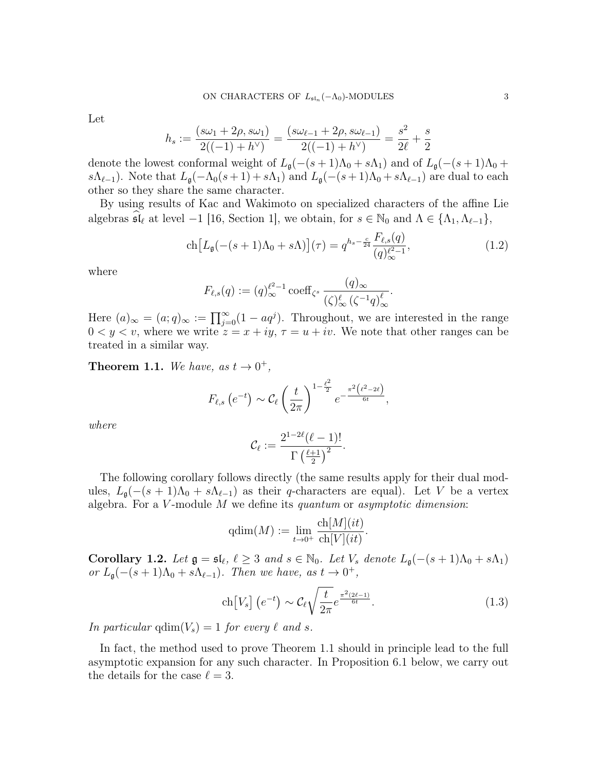Let

$$
h_s := \frac{(s\omega_1 + 2\rho, s\omega_1)}{2((-1) + h^{\vee})} = \frac{(s\omega_{\ell-1} + 2\rho, s\omega_{\ell-1})}{2((-1) + h^{\vee})} = \frac{s^2}{2\ell} + \frac{s}{2}
$$

denote the lowest conformal weight of  $L_{\mathfrak{g}}(-(s+1)\Lambda_0 + s\Lambda_1)$  and of  $L_{\mathfrak{g}}(-(s+1)\Lambda_0 + s\Lambda_1)$ s $(\Lambda_{\ell-1})$ . Note that  $L_{\mathfrak{g}}(-\Lambda_0(s+1) + s\Lambda_1)$  and  $L_{\mathfrak{g}}(-(s+1)\Lambda_0 + s\Lambda_{\ell-1})$  are dual to each other so they share the same character.

By using results of Kac and Wakimoto on specialized characters of the affine Lie algebras  $\mathfrak{sl}_{\ell}$  at level  $-1$  [16, Section 1], we obtain, for  $s \in \mathbb{N}_0$  and  $\Lambda \in \{\Lambda_1,\Lambda_{\ell-1}\},$ 

$$
\operatorname{ch}\left[L_{\mathfrak{g}}(-(s+1)\Lambda_0+s\Lambda)\right](\tau) = q^{h_s - \frac{c}{24}} \frac{F_{\ell,s}(q)}{(q)_{\infty}^{\ell^2 - 1}},\tag{1.2}
$$

where

$$
F_{\ell,s}(q) := (q)_{\infty}^{\ell^2 - 1} \operatorname{coeff}_{\zeta^s} \frac{(q)_{\infty}}{(\zeta)_{\infty}^{\ell} (\zeta^{-1}q)_{\infty}^{\ell}}.
$$

Here  $(a)_{\infty} = (a;q)_{\infty} := \prod_{j=0}^{\infty} (1 - aq^j)$ . Throughout, we are interested in the range  $0 < y < v$ , where we write  $z = x + iy$ ,  $\tau = u + iv$ . We note that other ranges can be treated in a similar way.

**Theorem 1.1.** We have, as  $t \to 0^+$ ,

$$
F_{\ell,s}\left(e^{-t}\right) \sim \mathcal{C}_{\ell}\left(\frac{t}{2\pi}\right)^{1-\frac{\ell^2}{2}}e^{-\frac{\pi^2\left(\ell^2-2\ell\right)}{6t}},
$$

where

$$
\mathcal{C}_{\ell} := \frac{2^{1-2\ell}(\ell-1)!}{\Gamma\left(\frac{\ell+1}{2}\right)^2}.
$$

The following corollary follows directly (the same results apply for their dual modules,  $L_{\mathfrak{g}}(-(s+1)\Lambda_0 + s\Lambda_{\ell-1})$  as their q-characters are equal). Let V be a vertex algebra. For a  $V$ -module  $M$  we define its quantum or asymptotic dimension:

$$
\mathrm{qdim}(M) := \lim_{t \to 0^+} \frac{\mathrm{ch}[M](it)}{\mathrm{ch}[V](it)}.
$$

Corollary 1.2. Let  $\mathfrak{g} = \mathfrak{sl}_{\ell}, \ell \geq 3$  and  $s \in \mathbb{N}_0$ . Let  $V_s$  denote  $L_{\mathfrak{g}}(-(s+1)\Lambda_0 + s\Lambda_1)$ or  $L_{\mathfrak{g}}(-(s+1)\Lambda_0 + s\Lambda_{\ell-1})$ . Then we have, as  $t \to 0^+$ ,

$$
\operatorname{ch}[V_s] \left( e^{-t} \right) \sim \mathcal{C}_{\ell} \sqrt{\frac{t}{2\pi}} e^{\frac{\pi^2 (2\ell - 1)}{6t}}.
$$
\n(1.3)

In particular  $qdim(V_s) = 1$  for every  $\ell$  and s.

In fact, the method used to prove Theorem 1.1 should in principle lead to the full asymptotic expansion for any such character. In Proposition 6.1 below, we carry out the details for the case  $\ell = 3$ .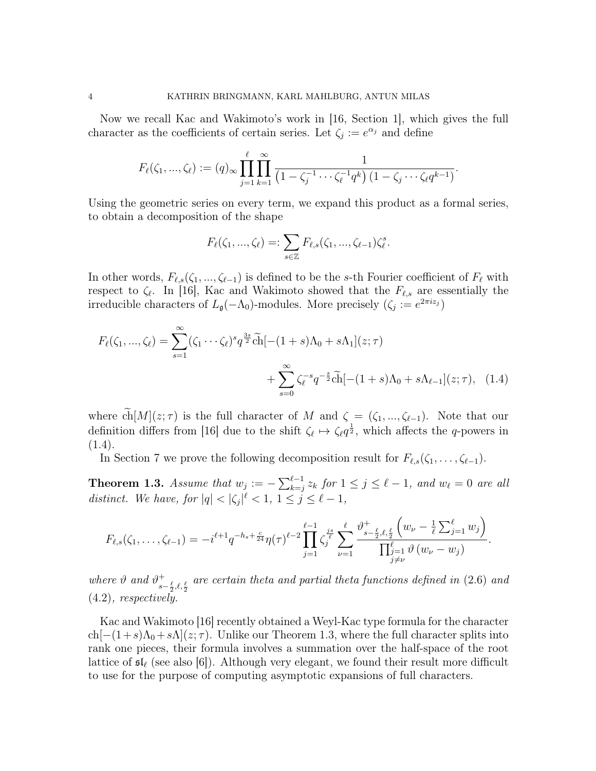Now we recall Kac and Wakimoto's work in [16, Section 1], which gives the full character as the coefficients of certain series. Let  $\zeta_i := e^{\alpha_i}$  and define

$$
F_{\ell}(\zeta_1, ..., \zeta_{\ell}) := (q)_{\infty} \prod_{j=1}^{\ell} \prod_{k=1}^{\infty} \frac{1}{\left(1 - \zeta_j^{-1} \cdots \zeta_{\ell}^{-1} q^k\right) \left(1 - \zeta_j \cdots \zeta_{\ell} q^{k-1}\right)}.
$$

Using the geometric series on every term, we expand this product as a formal series, to obtain a decomposition of the shape

$$
F_{\ell}(\zeta_1, ..., \zeta_{\ell}) =: \sum_{s \in \mathbb{Z}} F_{\ell,s}(\zeta_1, ..., \zeta_{\ell-1}) \zeta_{\ell}^s.
$$

In other words,  $F_{\ell,s}(\zeta_1, ..., \zeta_{\ell-1})$  is defined to be the s-th Fourier coefficient of  $F_\ell$  with respect to  $\zeta_{\ell}$ . In [16], Kac and Wakimoto showed that the  $F_{\ell,s}$  are essentially the irreducible characters of  $L_{\mathfrak{g}}(-\Lambda_0)$ -modules. More precisely  $(\zeta_i := e^{2\pi i z_j})$ 

$$
F_{\ell}(\zeta_1, ..., \zeta_{\ell}) = \sum_{s=1}^{\infty} (\zeta_1 \cdots \zeta_{\ell})^s q^{\frac{3s}{2}} \widetilde{\text{ch}}[-(1+s)\Lambda_0 + s\Lambda_1](z;\tau) + \sum_{s=0}^{\infty} \zeta_{\ell}^{-s} q^{-\frac{s}{2}} \widetilde{\text{ch}}[-(1+s)\Lambda_0 + s\Lambda_{\ell-1}](z;\tau), \quad (1.4)
$$

where  $\widetilde{\text{ch}}[M](z;\tau)$  is the full character of M and  $\zeta = (\zeta_1, ..., \zeta_{\ell-1})$ . Note that our definition differs from [16] due to the shift  $\zeta_{\ell} \mapsto \zeta_{\ell} q^{\frac{1}{2}}$ , which affects the q-powers in (1.4).

In Section 7 we prove the following decomposition result for  $F_{\ell,s}(\zeta_1, \ldots, \zeta_{\ell-1}).$ 

**Theorem 1.3.** Assume that  $w_j := -\sum_{k=j}^{\ell-1} z_k$  for  $1 \le j \le \ell - 1$ , and  $w_{\ell} = 0$  are all distinct. We have, for  $|q| < |\zeta_j|^{\ell} < 1, 1 \le j \le \ell - 1$ ,

$$
F_{\ell,s}(\zeta_1,\ldots,\zeta_{\ell-1})=-i^{\ell+1}q^{-h_s+\frac{c}{24}}\eta(\tau)^{\ell-2}\prod_{j=1}^{\ell-1}\zeta_j^{\frac{js}{\ell}}\sum_{\nu=1}^{\ell}\frac{\vartheta_{s-\frac{\ell}{2},\ell,\frac{\ell}{2}}\left(w_{\nu}-\frac{1}{\ell}\sum_{j=1}^{\ell}w_j\right)}{\prod_{\substack{j=1 \ j \neq \nu}}^{\ell}\vartheta(w_{\nu}-w_j)}.
$$

where  $\vartheta$  and  $\vartheta^+$  $_{s-\frac{\ell}{2},\ell,\frac{\ell}{2}}^+$  are certain theta and partial theta functions defined in  $(2.6)$  and (4.2), respectively.

Kac and Wakimoto [16] recently obtained a Weyl-Kac type formula for the character  $ch[-(1+s)\Lambda_0 + s\Lambda](z;\tau)$ . Unlike our Theorem 1.3, where the full character splits into rank one pieces, their formula involves a summation over the half-space of the root lattice of  $\mathfrak{sl}_{\ell}$  (see also [6]). Although very elegant, we found their result more difficult to use for the purpose of computing asymptotic expansions of full characters.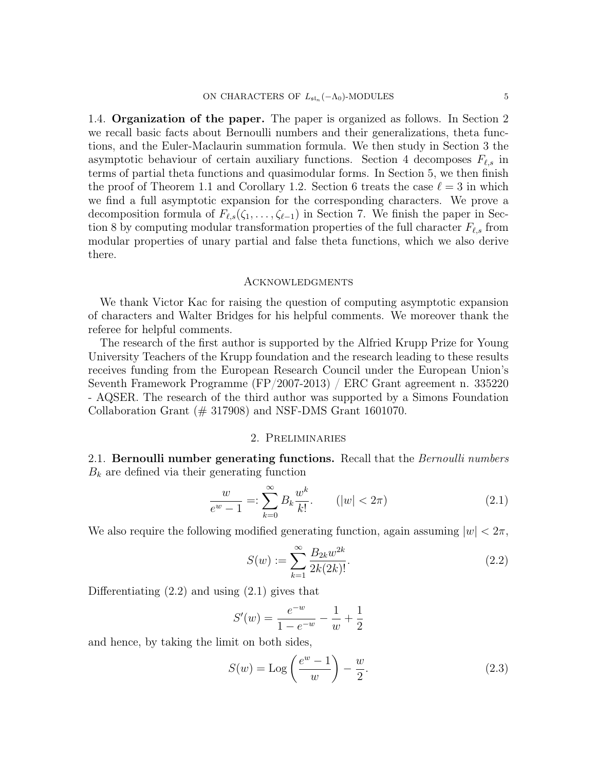1.4. Organization of the paper. The paper is organized as follows. In Section 2 we recall basic facts about Bernoulli numbers and their generalizations, theta functions, and the Euler-Maclaurin summation formula. We then study in Section 3 the asymptotic behaviour of certain auxiliary functions. Section 4 decomposes  $F_{\ell,s}$  in terms of partial theta functions and quasimodular forms. In Section 5, we then finish the proof of Theorem 1.1 and Corollary 1.2. Section 6 treats the case  $\ell = 3$  in which we find a full asymptotic expansion for the corresponding characters. We prove a decomposition formula of  $F_{\ell,s}(\zeta_1,\ldots,\zeta_{\ell-1})$  in Section 7. We finish the paper in Section 8 by computing modular transformation properties of the full character  $F_{\ell,s}$  from modular properties of unary partial and false theta functions, which we also derive there.

### Acknowledgments

We thank Victor Kac for raising the question of computing asymptotic expansion of characters and Walter Bridges for his helpful comments. We moreover thank the referee for helpful comments.

The research of the first author is supported by the Alfried Krupp Prize for Young University Teachers of the Krupp foundation and the research leading to these results receives funding from the European Research Council under the European Union's Seventh Framework Programme (FP/2007-2013) / ERC Grant agreement n. 335220 - AQSER. The research of the third author was supported by a Simons Foundation Collaboration Grant  $(\# 317908)$  and NSF-DMS Grant 1601070.

# 2. Preliminaries

2.1. Bernoulli number generating functions. Recall that the *Bernoulli numbers*  $B_k$  are defined via their generating function

$$
\frac{w}{e^w - 1} =: \sum_{k=0}^{\infty} B_k \frac{w^k}{k!}.
$$
 (|w| < 2\pi) (2.1)

We also require the following modified generating function, again assuming  $|w| < 2\pi$ ,

$$
S(w) := \sum_{k=1}^{\infty} \frac{B_{2k} w^{2k}}{2k(2k)!}.
$$
\n(2.2)

Differentiating  $(2.2)$  and using  $(2.1)$  gives that

$$
S'(w) = \frac{e^{-w}}{1 - e^{-w}} - \frac{1}{w} + \frac{1}{2}
$$

and hence, by taking the limit on both sides,

$$
S(w) = \text{Log}\left(\frac{e^w - 1}{w}\right) - \frac{w}{2}.\tag{2.3}
$$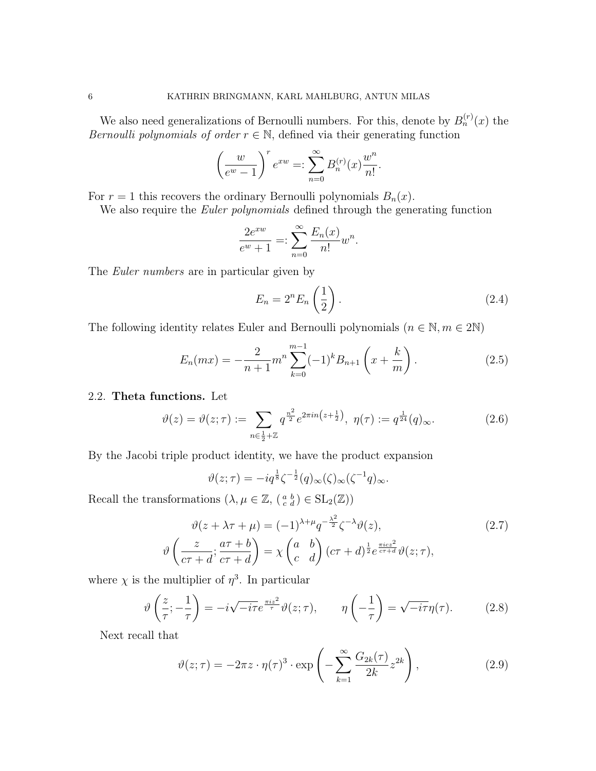We also need generalizations of Bernoulli numbers. For this, denote by  $B_n^{(r)}(x)$  the Bernoulli polynomials of order  $r \in \mathbb{N}$ , defined via their generating function

$$
\left(\frac{w}{e^w-1}\right)^r e^{xw} =: \sum_{n=0}^{\infty} B_n^{(r)}(x) \frac{w^n}{n!}.
$$

For  $r = 1$  this recovers the ordinary Bernoulli polynomials  $B_n(x)$ .

We also require the *Euler polynomials* defined through the generating function

$$
\frac{2e^{xw}}{e^w + 1} =: \sum_{n=0}^{\infty} \frac{E_n(x)}{n!} w^n.
$$

The *Euler numbers* are in particular given by

$$
E_n = 2^n E_n \left(\frac{1}{2}\right). \tag{2.4}
$$

The following identity relates Euler and Bernoulli polynomials  $(n \in \mathbb{N}, m \in 2\mathbb{N})$ 

$$
E_n(mx) = -\frac{2}{n+1}m^n \sum_{k=0}^{m-1} (-1)^k B_{n+1}\left(x + \frac{k}{m}\right). \tag{2.5}
$$

## 2.2. Theta functions. Let

$$
\vartheta(z) = \vartheta(z;\tau) := \sum_{n \in \frac{1}{2} + \mathbb{Z}} q^{\frac{n^2}{2}} e^{2\pi i n \left(z + \frac{1}{2}\right)}, \ \eta(\tau) := q^{\frac{1}{24}}(q)_{\infty}.
$$
 (2.6)

By the Jacobi triple product identity, we have the product expansion

$$
\vartheta(z;\tau) = -iq^{\frac{1}{8}}\zeta^{-\frac{1}{2}}(q)_{\infty}(\zeta)_{\infty}(\zeta^{-1}q)_{\infty}.
$$

Recall the transformations  $(\lambda, \mu \in \mathbb{Z}, \left(\begin{smallmatrix} a & b \\ c & d \end{smallmatrix}\right) \in SL_2(\mathbb{Z}))$ 

$$
\vartheta(z + \lambda \tau + \mu) = (-1)^{\lambda + \mu} q^{-\frac{\lambda^2}{2}} \zeta^{-\lambda} \vartheta(z),
$$
\n
$$
\vartheta\left(\frac{z}{c\tau + d}; \frac{a\tau + b}{c\tau + d}\right) = \chi\begin{pmatrix} a & b \\ c & d \end{pmatrix} (c\tau + d)^{\frac{1}{2}} e^{\frac{\pi i c z^2}{c\tau + d}} \vartheta(z; \tau),
$$
\n(2.7)

where  $\chi$  is the multiplier of  $\eta^3$ . In particular

$$
\vartheta\left(\frac{z}{\tau}; -\frac{1}{\tau}\right) = -i\sqrt{-i\tau}e^{\frac{\pi i z^2}{\tau}}\vartheta(z;\tau), \qquad \eta\left(-\frac{1}{\tau}\right) = \sqrt{-i\tau}\eta(\tau). \tag{2.8}
$$

Next recall that

$$
\vartheta(z;\tau) = -2\pi z \cdot \eta(\tau)^3 \cdot \exp\left(-\sum_{k=1}^{\infty} \frac{G_{2k}(\tau)}{2k} z^{2k}\right),\tag{2.9}
$$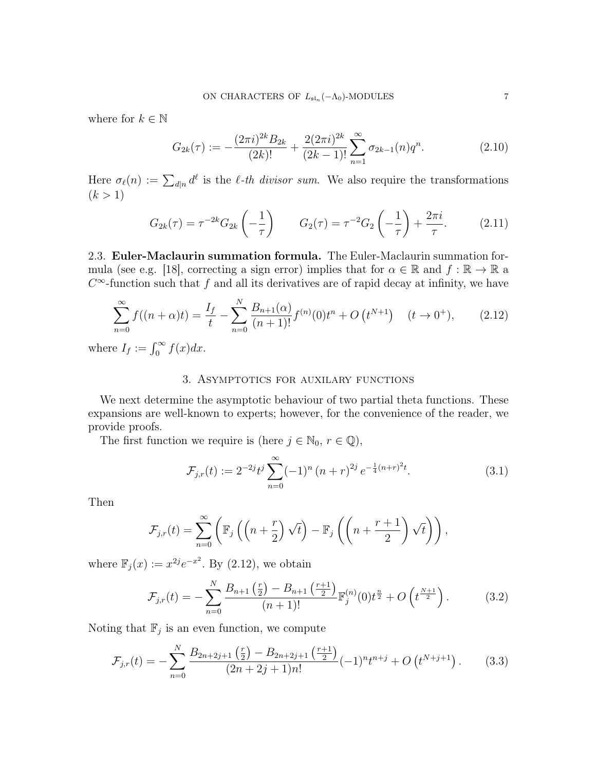where for  $k \in \mathbb{N}$ 

$$
G_{2k}(\tau) := -\frac{(2\pi i)^{2k} B_{2k}}{(2k)!} + \frac{2(2\pi i)^{2k}}{(2k-1)!} \sum_{n=1}^{\infty} \sigma_{2k-1}(n) q^n.
$$
 (2.10)

Here  $\sigma_{\ell}(n) := \sum_{d|n} d^{\ell}$  is the  $\ell$ -th divisor sum. We also require the transformations  $(k > 1)$ 

$$
G_{2k}(\tau) = \tau^{-2k} G_{2k} \left( -\frac{1}{\tau} \right) \qquad G_2(\tau) = \tau^{-2} G_2 \left( -\frac{1}{\tau} \right) + \frac{2\pi i}{\tau}.
$$
 (2.11)

2.3. Euler-Maclaurin summation formula. The Euler-Maclaurin summation formula (see e.g. [18], correcting a sign error) implies that for  $\alpha \in \mathbb{R}$  and  $f : \mathbb{R} \to \mathbb{R}$  a  $C^{\infty}$ -function such that f and all its derivatives are of rapid decay at infinity, we have

$$
\sum_{n=0}^{\infty} f((n+\alpha)t) = \frac{I_f}{t} - \sum_{n=0}^{N} \frac{B_{n+1}(\alpha)}{(n+1)!} f^{(n)}(0)t^n + O(t^{N+1}) \quad (t \to 0^+), \tag{2.12}
$$

where  $I_f := \int_0^\infty f(x) dx$ .

# 3. Asymptotics for auxilary functions

We next determine the asymptotic behaviour of two partial theta functions. These expansions are well-known to experts; however, for the convenience of the reader, we provide proofs.

The first function we require is (here  $j \in \mathbb{N}_0$ ,  $r \in \mathbb{Q}$ ),

$$
\mathcal{F}_{j,r}(t) := 2^{-2j} t^j \sum_{n=0}^{\infty} (-1)^n (n+r)^{2j} e^{-\frac{1}{4}(n+r)^2 t}.
$$
 (3.1)

Then

$$
\mathcal{F}_{j,r}(t) = \sum_{n=0}^{\infty} \left( \mathbb{F}_j \left( \left( n + \frac{r}{2} \right) \sqrt{t} \right) - \mathbb{F}_j \left( \left( n + \frac{r+1}{2} \right) \sqrt{t} \right) \right),
$$

where  $\mathbb{F}_j(x) := x^{2j} e^{-x^2}$ . By (2.12), we obtain

$$
\mathcal{F}_{j,r}(t) = -\sum_{n=0}^{N} \frac{B_{n+1}\left(\frac{r}{2}\right) - B_{n+1}\left(\frac{r+1}{2}\right)}{(n+1)!} \mathbb{F}_j^{(n)}(0) t^{\frac{n}{2}} + O\left(t^{\frac{N+1}{2}}\right).
$$
 (3.2)

Noting that  $\mathbb{F}_j$  is an even function, we compute

$$
\mathcal{F}_{j,r}(t) = -\sum_{n=0}^{N} \frac{B_{2n+2j+1}\left(\frac{r}{2}\right) - B_{2n+2j+1}\left(\frac{r+1}{2}\right)}{(2n+2j+1)n!} (-1)^n t^{n+j} + O\left(t^{N+j+1}\right). \tag{3.3}
$$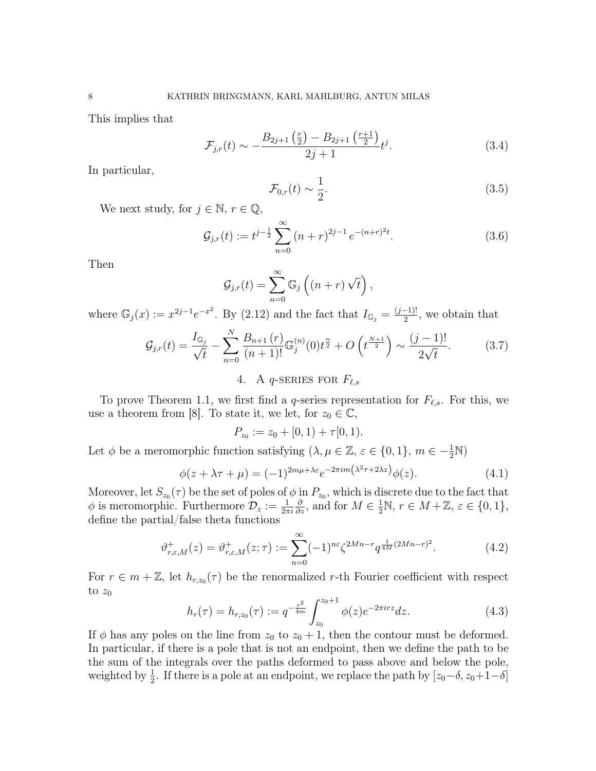This implies that

$$
\mathcal{F}_{j,r}(t) \sim -\frac{B_{2j+1}\left(\frac{r}{2}\right) - B_{2j+1}\left(\frac{r+1}{2}\right)}{2j+1}t^j.
$$
\n(3.4)

In particular,

$$
\mathcal{F}_{0,r}(t) \sim \frac{1}{2}.\tag{3.5}
$$

We next study, for  $j \in \mathbb{N}$ ,  $r \in \mathbb{Q}$ ,

$$
\mathcal{G}_{j,r}(t) := t^{j-\frac{1}{2}} \sum_{n=0}^{\infty} (n+r)^{2j-1} e^{-(n+r)^2 t}.
$$
 (3.6)

Then

$$
\mathcal{G}_{j,r}(t) = \sum_{n=0}^{\infty} \mathbb{G}_j \left( (n+r) \sqrt{t} \right),
$$

where  $\mathbb{G}_j(x) := x^{2j-1}e^{-x^2}$ . By (2.12) and the fact that  $I_{\mathbb{G}_j} = \frac{(j-1)!}{2}$  $\frac{-1)!}{2}$ , we obtain that

$$
\mathcal{G}_{j,r}(t) = \frac{I_{\mathbb{G}_j}}{\sqrt{t}} - \sum_{n=0}^{N} \frac{B_{n+1}(r)}{(n+1)!} \mathbb{G}_j^{(n)}(0) t^{\frac{n}{2}} + O\left(t^{\frac{N+1}{2}}\right) \sim \frac{(j-1)!}{2\sqrt{t}}.
$$
 (3.7)

# 4. A q-SERIES FOR  $F_{\ell,s}$

To prove Theorem 1.1, we first find a q-series representation for  $F_{\ell,s}$ . For this, we use a theorem from [8]. To state it, we let, for  $z_0 \in \mathbb{C}$ ,

$$
P_{z_0} := z_0 + [0,1) + \tau[0,1).
$$

Let  $\phi$  be a meromorphic function satisfying  $(\lambda, \mu \in \mathbb{Z}, \varepsilon \in \{0, 1\}, m \in -\frac{1}{2}\mathbb{N})$ 

$$
\phi(z + \lambda \tau + \mu) = (-1)^{2m\mu + \lambda \varepsilon} e^{-2\pi i m \left(\lambda^2 \tau + 2\lambda z\right)} \phi(z). \tag{4.1}
$$

Moreover, let  $S_{z_0}(\tau)$  be the set of poles of  $\phi$  in  $P_{z_0}$ , which is discrete due to the fact that  $\phi$  is meromorphic. Furthermore  $\mathcal{D}_z := \frac{1}{2\pi i}$  $\frac{\partial}{\partial z}$ , and for  $M \in \frac{1}{2} \mathbb{N}$ ,  $r \in M + \mathbb{Z}$ ,  $\varepsilon \in \{0, 1\}$ , define the partial/false theta functions

$$
\vartheta_{r,\varepsilon,M}^+(z) = \vartheta_{r,\varepsilon,M}^+(z;\tau) := \sum_{n=0}^{\infty} (-1)^{n\varepsilon} \zeta^{2Mn-r} q^{\frac{1}{4M}(2Mn-r)^2}.
$$
 (4.2)

For  $r \in m + \mathbb{Z}$ , let  $h_{r,z_0}(\tau)$  be the renormalized r-th Fourier coefficient with respect to  $z_0$ 

$$
h_r(\tau) = h_{r,z_0}(\tau) := q^{-\frac{r^2}{4m}} \int_{z_0}^{z_0+1} \phi(z) e^{-2\pi i r z} dz.
$$
 (4.3)

If  $\phi$  has any poles on the line from  $z_0$  to  $z_0 + 1$ , then the contour must be deformed. In particular, if there is a pole that is not an endpoint, then we define the path to be the sum of the integrals over the paths deformed to pass above and below the pole, weighted by  $\frac{1}{2}$ . If there is a pole at an endpoint, we replace the path by  $[z_0-\delta, z_0+1-\delta]$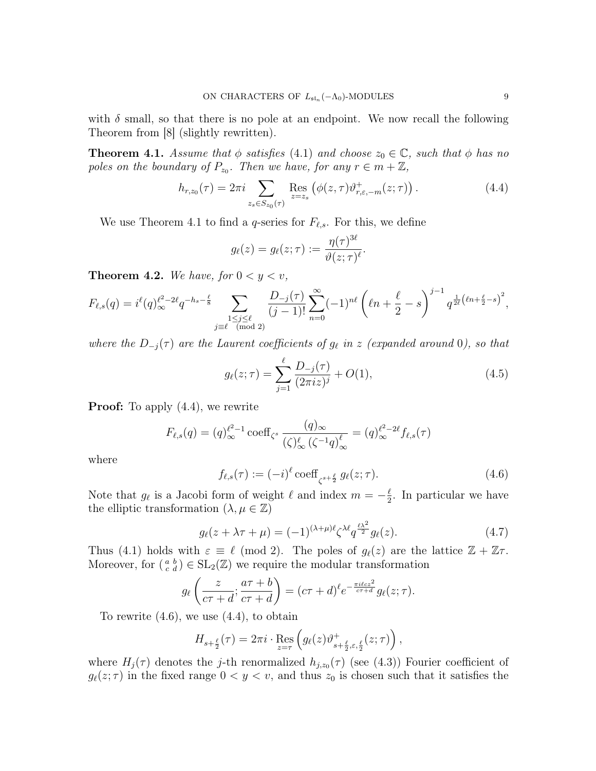with  $\delta$  small, so that there is no pole at an endpoint. We now recall the following Theorem from [8] (slightly rewritten).

**Theorem 4.1.** Assume that  $\phi$  satisfies (4.1) and choose  $z_0 \in \mathbb{C}$ , such that  $\phi$  has no poles on the boundary of  $P_{z_0}$ . Then we have, for any  $r \in m + \mathbb{Z}$ ,

$$
h_{r,z_0}(\tau) = 2\pi i \sum_{z_s \in S_{z_0}(\tau)} \text{Res}_{z=z_s} \left( \phi(z,\tau) \vartheta_{r,\varepsilon,-m}^+(z;\tau) \right). \tag{4.4}
$$

We use Theorem 4.1 to find a q-series for  $F_{\ell,s}$ . For this, we define

$$
g_{\ell}(z)=g_{\ell}(z;\tau):=\frac{\eta(\tau)^{3\ell}}{\vartheta(z;\tau)^{\ell}}.
$$

**Theorem 4.2.** We have, for  $0 < y < v$ ,

$$
F_{\ell,s}(q) = i^{\ell}(q)_{\infty}^{\ell^2 - 2\ell} q^{-h_s - \frac{\ell}{8}} \sum_{\substack{1 \le j \le \ell \\ j \equiv \ell \pmod{2}}} \frac{D_{-j}(\tau)}{(j-1)!} \sum_{n=0}^{\infty} (-1)^{n\ell} \left(\ell n + \frac{\ell}{2} - s\right)^{j-1} q^{\frac{1}{2\ell} \left(\ell n + \frac{\ell}{2} - s\right)^2},
$$

where the  $D_{-j}(\tau)$  are the Laurent coefficients of  $g_{\ell}$  in z (expanded around 0), so that

$$
g_{\ell}(z;\tau) = \sum_{j=1}^{\ell} \frac{D_{-j}(\tau)}{(2\pi i z)^j} + O(1),\tag{4.5}
$$

**Proof:** To apply  $(4.4)$ , we rewrite

$$
F_{\ell,s}(q) = (q)_{\infty}^{\ell^2 - 1} \operatorname{coeff}_{\zeta^s} \frac{(q)_{\infty}}{(\zeta)_{\infty}^{\ell} (\zeta^{-1}q)_{\infty}^{\ell}} = (q)_{\infty}^{\ell^2 - 2\ell} f_{\ell,s}(\tau)
$$

where

$$
f_{\ell,s}(\tau) := (-i)^{\ell} \operatorname{coeff}_{\zeta^{s+\frac{\ell}{2}}} g_{\ell}(z;\tau). \tag{4.6}
$$

Note that  $g_{\ell}$  is a Jacobi form of weight  $\ell$  and index  $m = -\frac{\ell}{2}$  $\frac{\ell}{2}$ . In particular we have the elliptic transformation  $(\lambda, \mu \in \mathbb{Z})$ 

$$
g_{\ell}(z+\lambda\tau+\mu) = (-1)^{(\lambda+\mu)\ell} \zeta^{\lambda\ell} q^{\frac{\ell\lambda^2}{2}} g_{\ell}(z). \tag{4.7}
$$

Thus (4.1) holds with  $\varepsilon \equiv \ell \pmod{2}$ . The poles of  $g_{\ell}(z)$  are the lattice  $\mathbb{Z} + \mathbb{Z}\tau$ . Moreover, for  $\left(\begin{smallmatrix} a & b \\ c & d \end{smallmatrix}\right) \in SL_2(\mathbb{Z})$  we require the modular transformation

$$
g_{\ell}\left(\frac{z}{c\tau+d};\frac{a\tau+b}{c\tau+d}\right)=(c\tau+d)^{\ell}e^{-\frac{\pi i \ell c z^2}{c\tau+d}}g_{\ell}(z;\tau).
$$

To rewrite (4.6), we use (4.4), to obtain

$$
H_{s+\frac{\ell}{2}}(\tau) = 2\pi i \cdot \operatorname{Res}_{z=\tau} \left( g_{\ell}(z) \vartheta_{s+\frac{\ell}{2},\varepsilon,\frac{\ell}{2}}^{+}(z;\tau) \right),
$$

where  $H_j(\tau)$  denotes the j-th renormalized  $h_{j,z_0}(\tau)$  (see (4.3)) Fourier coefficient of  $g_{\ell}(z; \tau)$  in the fixed range  $0 < y < v$ , and thus  $z_0$  is chosen such that it satisfies the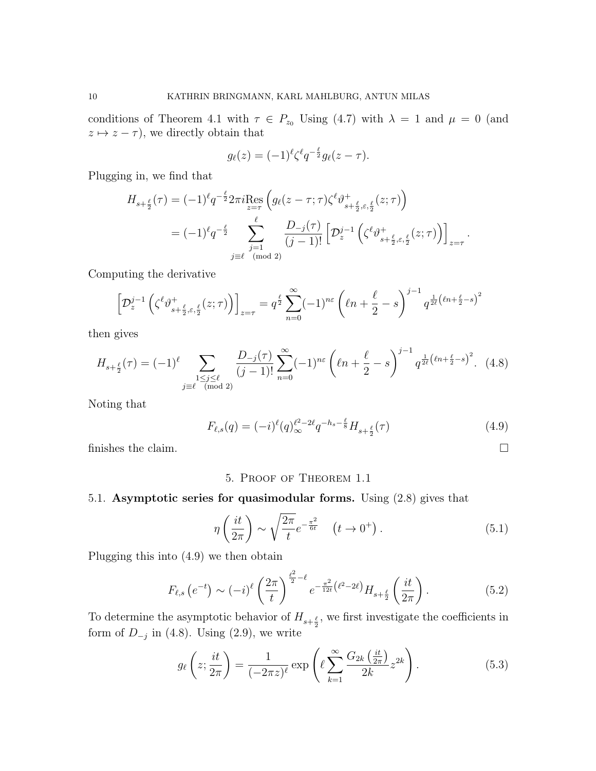conditions of Theorem 4.1 with  $\tau \in P_{z_0}$  Using (4.7) with  $\lambda = 1$  and  $\mu = 0$  (and  $z \mapsto z - \tau$ , we directly obtain that

$$
g_{\ell}(z) = (-1)^{\ell} \zeta^{\ell} q^{-\frac{\ell}{2}} g_{\ell}(z-\tau).
$$

Plugging in, we find that

$$
H_{s+\frac{\ell}{2}}(\tau) = (-1)^{\ell} q^{-\frac{\ell}{2}} 2\pi i \underset{z=\tau}{\text{Res}} \left( g_{\ell}(z-\tau;\tau) \zeta^{\ell} \vartheta_{s+\frac{\ell}{2},\varepsilon,\frac{\ell}{2}}^{+}(z;\tau) \right)
$$
  
=  $(-1)^{\ell} q^{-\frac{\ell}{2}} \sum_{\substack{j=1 \ j \equiv \ell \pmod{2}}}^{\ell} \frac{D_{-j}(\tau)}{(j-1)!} \left[ \mathcal{D}_{z}^{j-1} \left( \zeta^{\ell} \vartheta_{s+\frac{\ell}{2},\varepsilon,\frac{\ell}{2}}^{+}(z;\tau) \right) \right]_{z=\tau}.$ 

Computing the derivative

$$
\left[\mathcal{D}_z^{j-1}\left(\zeta^\ell\vartheta_{s+\frac{\ell}{2},\varepsilon,\frac{\ell}{2}}^+(\boldsymbol{z};\tau)\right)\right]_{\boldsymbol{z}=\tau} = q^{\frac{\ell}{2}}\sum_{n=0}^\infty (-1)^{n\varepsilon}\left(\ell n+\frac{\ell}{2}-s\right)^{j-1}q^{\frac{1}{2\ell}\left(\ell n+\frac{\ell}{2}-s\right)^2}
$$

then gives

$$
H_{s+\frac{\ell}{2}}(\tau) = (-1)^{\ell} \sum_{\substack{1 \le j \le \ell \\ j \equiv \ell \pmod{2}}} \frac{D_{-j}(\tau)}{(j-1)!} \sum_{n=0}^{\infty} (-1)^{n\varepsilon} \left(\ell n + \frac{\ell}{2} - s\right)^{j-1} q^{\frac{1}{2\ell} \left(\ell n + \frac{\ell}{2} - s\right)^2}.
$$
 (4.8)

Noting that

$$
F_{\ell,s}(q) = (-i)^{\ell} (q)_{\infty}^{\ell^2 - 2\ell} q^{-h_s - \frac{\ell}{8}} H_{s + \frac{\ell}{2}}(\tau)
$$
\n(4.9)

finishes the claim.  $\Box$ 

# 5. Proof of Theorem 1.1

# 5.1. Asymptotic series for quasimodular forms. Using (2.8) gives that

$$
\eta\left(\frac{it}{2\pi}\right) \sim \sqrt{\frac{2\pi}{t}} e^{-\frac{\pi^2}{6t}} \quad \left(t \to 0^+\right). \tag{5.1}
$$

Plugging this into (4.9) we then obtain

$$
F_{\ell,s}\left(e^{-t}\right) \sim (-i)^{\ell} \left(\frac{2\pi}{t}\right)^{\frac{\ell^2}{2}-\ell} e^{-\frac{\pi^2}{12t}\left(\ell^2 - 2\ell\right)} H_{s+\frac{\ell}{2}}\left(\frac{it}{2\pi}\right). \tag{5.2}
$$

To determine the asymptotic behavior of  $H_{s+\frac{\ell}{2}}$ , we first investigate the coefficients in form of  $D_{-j}$  in (4.8). Using (2.9), we write

$$
g_{\ell}\left(z;\frac{it}{2\pi}\right) = \frac{1}{(-2\pi z)^{\ell}} \exp\left(\ell \sum_{k=1}^{\infty} \frac{G_{2k}\left(\frac{it}{2\pi}\right)}{2k} z^{2k}\right).
$$
 (5.3)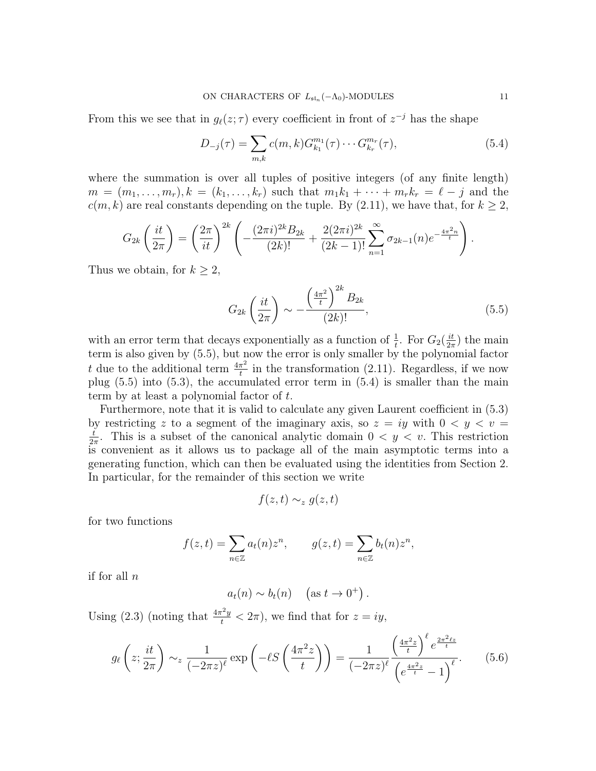From this we see that in  $g_{\ell}(z;\tau)$  every coefficient in front of  $z^{-j}$  has the shape

$$
D_{-j}(\tau) = \sum_{m,k} c(m,k) G_{k_1}^{m_1}(\tau) \cdots G_{k_r}^{m_r}(\tau), \qquad (5.4)
$$

where the summation is over all tuples of positive integers (of any finite length)  $m = (m_1, \ldots, m_r), k = (k_1, \ldots, k_r)$  such that  $m_1 k_1 + \cdots + m_r k_r = \ell - j$  and the  $c(m, k)$  are real constants depending on the tuple. By (2.11), we have that, for  $k \geq 2$ ,

$$
G_{2k}\left(\frac{it}{2\pi}\right) = \left(\frac{2\pi}{it}\right)^{2k} \left(-\frac{(2\pi i)^{2k}B_{2k}}{(2k)!} + \frac{2(2\pi i)^{2k}}{(2k-1)!} \sum_{n=1}^{\infty} \sigma_{2k-1}(n) e^{-\frac{4\pi^2 n}{t}}\right).
$$

Thus we obtain, for  $k \geq 2$ ,

$$
G_{2k}\left(\frac{it}{2\pi}\right) \sim -\frac{\left(\frac{4\pi^2}{t}\right)^{2k} B_{2k}}{(2k)!},\tag{5.5}
$$

with an error term that decays exponentially as a function of  $\frac{1}{t}$ . For  $G_2(\frac{it}{2\pi})$  $\frac{it}{2\pi}$ ) the main term is also given by (5.5), but now the error is only smaller by the polynomial factor t due to the additional term  $\frac{4\pi^2}{4}$  $\frac{\pi^2}{t}$  in the transformation (2.11). Regardless, if we now plug (5.5) into (5.3), the accumulated error term in (5.4) is smaller than the main term by at least a polynomial factor of t.

Furthermore, note that it is valid to calculate any given Laurent coefficient in (5.3) by restricting z to a segment of the imaginary axis, so  $z = iy$  with  $0 \lt y \lt v =$ t  $\frac{t}{2\pi}$ . This is a subset of the canonical analytic domain  $0 < y < v$ . This restriction is convenient as it allows us to package all of the main asymptotic terms into a generating function, which can then be evaluated using the identities from Section 2. In particular, for the remainder of this section we write

$$
f(z,t) \sim_z g(z,t)
$$

for two functions

$$
f(z,t) = \sum_{n \in \mathbb{Z}} a_t(n) z^n, \qquad g(z,t) = \sum_{n \in \mathbb{Z}} b_t(n) z^n,
$$

if for all  $n$ 

$$
a_t(n) \sim b_t(n) \quad (\text{as } t \to 0^+).
$$

Using (2.3) (noting that  $\frac{4\pi^2 y}{t} < 2\pi$ ), we find that for  $z = iy$ ,

$$
g_{\ell}\left(z;\frac{it}{2\pi}\right) \sim_{z} \frac{1}{(-2\pi z)^{\ell}} \exp\left(-\ell S\left(\frac{4\pi^2 z}{t}\right)\right) = \frac{1}{(-2\pi z)^{\ell}} \frac{\left(\frac{4\pi^2 z}{t}\right)^{\ell} e^{\frac{2\pi^2 \ell z}{t}}}{\left(e^{\frac{4\pi^2 z}{t}} - 1\right)^{\ell}}.
$$
(5.6)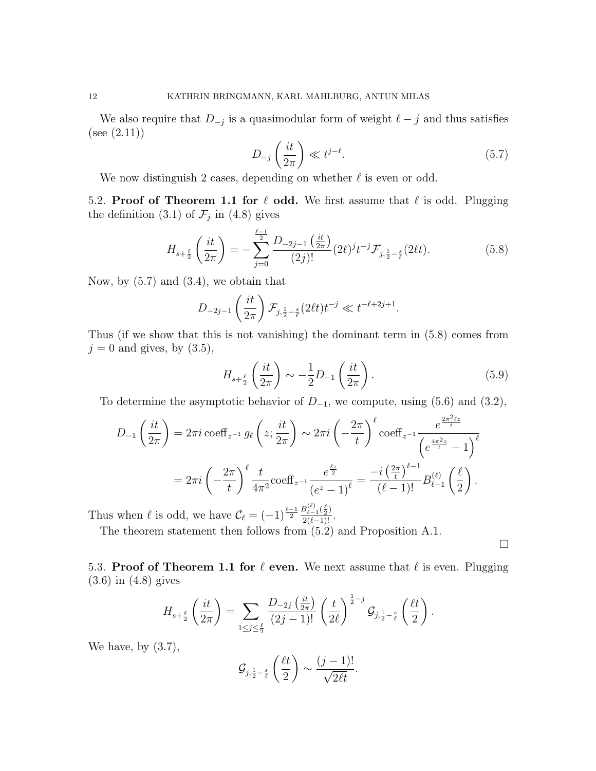We also require that  $D_{-j}$  is a quasimodular form of weight  $\ell - j$  and thus satisfies  $(see (2.11))$ 

$$
D_{-j}\left(\frac{it}{2\pi}\right) \ll t^{j-\ell}.\tag{5.7}
$$

We now distinguish 2 cases, depending on whether  $\ell$  is even or odd.

5.2. Proof of Theorem 1.1 for  $\ell$  odd. We first assume that  $\ell$  is odd. Plugging the definition (3.1) of  $\mathcal{F}_j$  in (4.8) gives

$$
H_{s+\frac{\ell}{2}}\left(\frac{it}{2\pi}\right) = -\sum_{j=0}^{\frac{\ell-1}{2}} \frac{D_{-2j-1}\left(\frac{it}{2\pi}\right)}{(2j)!} (2\ell)^j t^{-j} \mathcal{F}_{j,\frac{1}{2}-\frac{s}{\ell}}(2\ell t).
$$
 (5.8)

Now, by  $(5.7)$  and  $(3.4)$ , we obtain that

$$
D_{-2j-1}\left(\frac{it}{2\pi}\right)\mathcal{F}_{j,\frac{1}{2}-\frac{s}{\ell}}(2\ell t)t^{-j} \ll t^{-\ell+2j+1}.
$$

Thus (if we show that this is not vanishing) the dominant term in (5.8) comes from  $j = 0$  and gives, by  $(3.5)$ ,

$$
H_{s+\frac{\ell}{2}}\left(\frac{it}{2\pi}\right) \sim -\frac{1}{2}D_{-1}\left(\frac{it}{2\pi}\right). \tag{5.9}
$$

To determine the asymptotic behavior of  $D_{-1}$ , we compute, using (5.6) and (3.2),

$$
D_{-1}\left(\frac{it}{2\pi}\right) = 2\pi i \, \text{coeff}_{z^{-1}} g_{\ell}\left(z; \frac{it}{2\pi}\right) \sim 2\pi i \left(-\frac{2\pi}{t}\right)^{\ell} \text{coeff}_{z^{-1}} \frac{e^{\frac{2\pi^2 \ell z}{t}}}{\left(e^{\frac{4\pi^2 z}{t}} - 1\right)^{\ell}}
$$

$$
= 2\pi i \left(-\frac{2\pi}{t}\right)^{\ell} \frac{t}{4\pi^2} \text{coeff}_{z^{-1}} \frac{e^{\frac{\ell z}{2}}}{\left(e^z - 1\right)^{\ell}} = \frac{-i \left(\frac{2\pi}{t}\right)^{\ell - 1}}{\left(\ell - 1\right)!} B_{\ell - 1}^{(\ell)}\left(\frac{\ell}{2}\right).
$$

Thus when  $\ell$  is odd, we have  $\mathcal{C}_{\ell} = (-1)^{\frac{\ell-1}{2}} \frac{B_{\ell-1}^{(\ell)}(\frac{\ell}{2})}{2(\ell-1)!}$ .

The theorem statement then follows from (5.2) and Proposition A.1.

 $\Box$ 

5.3. Proof of Theorem 1.1 for  $\ell$  even. We next assume that  $\ell$  is even. Plugging (3.6) in (4.8) gives

$$
H_{s+\frac{\ell}{2}}\left(\frac{it}{2\pi}\right)=\sum_{1\leq j\leq \frac{\ell}{2}}\frac{D_{-2j}\left(\frac{it}{2\pi}\right)}{(2j-1)!}\left(\frac{t}{2\ell}\right)^{\frac{1}{2}-j}\mathcal{G}_{j,\frac{1}{2}-\frac{s}{\ell}}\left(\frac{\ell t}{2}\right).
$$

We have, by  $(3.7)$ ,

$$
\mathcal{G}_{j,\frac{1}{2}-\frac{s}{\ell}}\left(\frac{\ell t}{2}\right) \sim \frac{(j-1)!}{\sqrt{2\ell t}}.
$$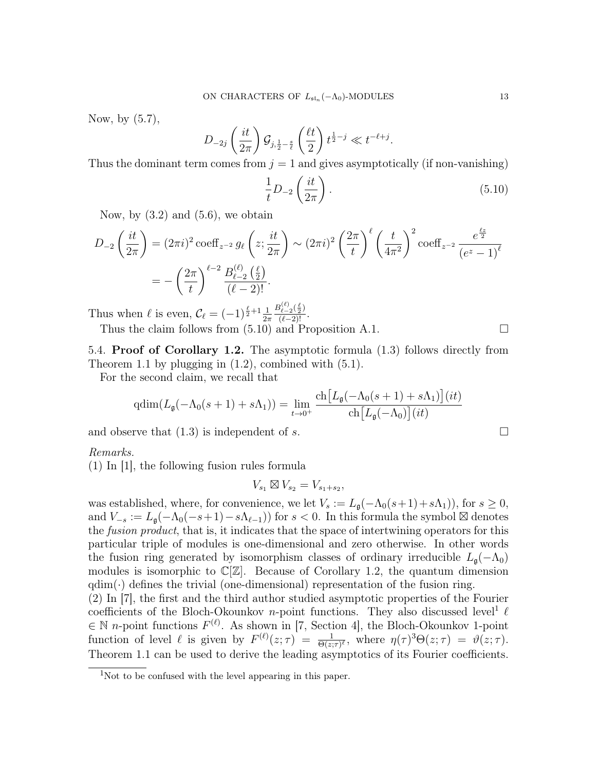Now, by (5.7),

$$
D_{-2j}\left(\frac{it}{2\pi}\right)\mathcal{G}_{j,\frac{1}{2}-\frac{s}{\ell}}\left(\frac{\ell t}{2}\right)t^{\frac{1}{2}-j}\ll t^{-\ell+j}.
$$

Thus the dominant term comes from  $j = 1$  and gives asymptotically (if non-vanishing)

$$
\frac{1}{t}D_{-2}\left(\frac{it}{2\pi}\right). \tag{5.10}
$$

Now, by  $(3.2)$  and  $(5.6)$ , we obtain

$$
D_{-2}\left(\frac{it}{2\pi}\right) = (2\pi i)^2 \operatorname{coeff}_{z^{-2}} g_{\ell}\left(z; \frac{it}{2\pi}\right) \sim (2\pi i)^2 \left(\frac{2\pi}{t}\right)^{\ell} \left(\frac{t}{4\pi^2}\right)^2 \operatorname{coeff}_{z^{-2}} \frac{e^{\frac{\ell z}{2}}}{(e^z - 1)^{\ell}}
$$

$$
= -\left(\frac{2\pi}{t}\right)^{\ell-2} \frac{B_{\ell-2}^{(\ell)}\left(\frac{\ell}{2}\right)}{(\ell-2)!}.
$$

Thus when  $\ell$  is even,  $\mathcal{C}_{\ell} = (-1)^{\frac{\ell}{2} + 1} \frac{1}{2\pi}$  $\frac{B_{\ell-2}^{(\ell)}(\frac{\ell}{2})}{(\ell-2)!}$ .

Thus the claim follows from  $(5.10)$  and Proposition A.1.  $\Box$ 

5.4. Proof of Corollary 1.2. The asymptotic formula (1.3) follows directly from Theorem 1.1 by plugging in (1.2), combined with (5.1).

For the second claim, we recall that

$$
\operatorname{qdim}(L_{\mathfrak{g}}(-\Lambda_0(s+1)+s\Lambda_1)) = \lim_{t \to 0^+} \frac{\operatorname{ch}\big[L_{\mathfrak{g}}(-\Lambda_0(s+1)+s\Lambda_1)\big](it)}{\operatorname{ch}\big[L_{\mathfrak{g}}(-\Lambda_0)\big](it)}
$$

and observe that  $(1.3)$  is independent of s.

Remarks.

(1) In [1], the following fusion rules formula

$$
V_{s_1} \boxtimes V_{s_2} = V_{s_1+s_2},
$$

was established, where, for convenience, we let  $V_s := L_\mathfrak{g}(-\Lambda_0(s+1)+s\Lambda_1)$ , for  $s \geq 0$ , and  $V_{-s} := L_{\mathfrak{g}}(-\Lambda_0(-s+1)-s\Lambda_{\ell-1})$  for  $s < 0$ . In this formula the symbol  $\boxtimes$  denotes the fusion product, that is, it indicates that the space of intertwining operators for this particular triple of modules is one-dimensional and zero otherwise. In other words the fusion ring generated by isomorphism classes of ordinary irreducible  $L_{\mathfrak{g}}(-\Lambda_0)$ modules is isomorphic to  $\mathbb{C}[\mathbb{Z}]$ . Because of Corollary 1.2, the quantum dimension  $qdim(\cdot)$  defines the trivial (one-dimensional) representation of the fusion ring.

(2) In [7], the first and the third author studied asymptotic properties of the Fourier coefficients of the Bloch-Okounkov *n*-point functions. They also discussed level<sup>1</sup>  $\ell$  $\in \mathbb{N}$  n-point functions  $F^{(\ell)}$ . As shown in [7, Section 4], the Bloch-Okounkov 1-point function of level  $\ell$  is given by  $F^{(\ell)}(z;\tau) = \frac{1}{\Theta(z;\tau)^{\ell}}$ , where  $\eta(\tau)^3 \Theta(z;\tau) = \vartheta(z;\tau)$ . Theorem 1.1 can be used to derive the leading asymptotics of its Fourier coefficients.

<sup>&</sup>lt;sup>1</sup>Not to be confused with the level appearing in this paper.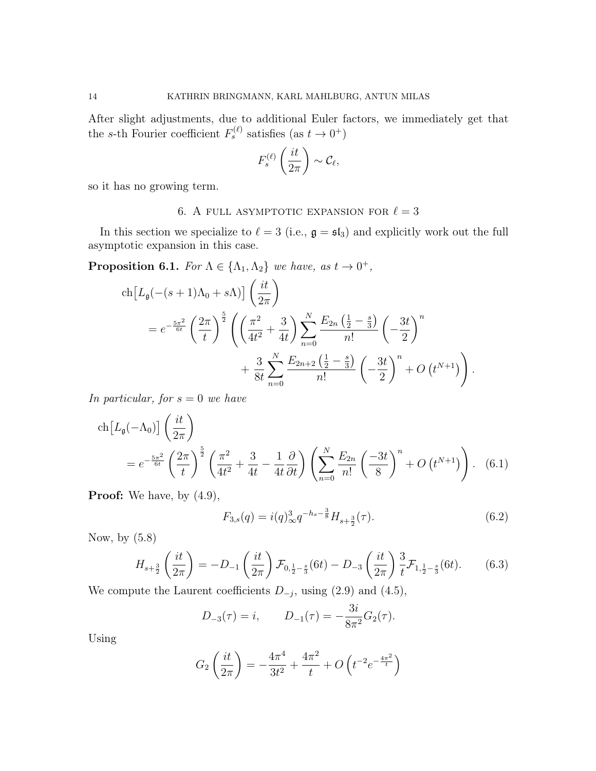After slight adjustments, due to additional Euler factors, we immediately get that the s-th Fourier coefficient  $F_s^{(\ell)}$  satisfies (as  $t \to 0^+$ )

$$
F_s^{(\ell)}\left(\frac{it}{2\pi}\right)\sim\mathcal{C}_{\ell},
$$

so it has no growing term.

# 6. A FULL ASYMPTOTIC EXPANSION FOR  $\ell = 3$

In this section we specialize to  $\ell = 3$  (i.e.,  $\mathfrak{g} = \mathfrak{sl}_3$ ) and explicitly work out the full asymptotic expansion in this case.

**Proposition 6.1.** For  $\Lambda \in \{\Lambda_1, \Lambda_2\}$  we have, as  $t \to 0^+$ ,

$$
\begin{split} \n\text{ch}\left[L_{\mathfrak{g}}(-(s+1)\Lambda_{0}+s\Lambda)\right] \left(\frac{it}{2\pi}\right) \\ \n&= e^{-\frac{5\pi^{2}}{6t}} \left(\frac{2\pi}{t}\right)^{\frac{5}{2}} \left(\left(\frac{\pi^{2}}{4t^{2}}+\frac{3}{4t}\right) \sum_{n=0}^{N} \frac{E_{2n}\left(\frac{1}{2}-\frac{s}{3}\right)}{n!} \left(-\frac{3t}{2}\right)^{n} \right. \\ \n&\left. + \frac{3}{8t} \sum_{n=0}^{N} \frac{E_{2n+2}\left(\frac{1}{2}-\frac{s}{3}\right)}{n!} \left(-\frac{3t}{2}\right)^{n} + O\left(t^{N+1}\right)\right). \n\end{split}
$$

In particular, for  $s = 0$  we have

$$
\operatorname{ch}\left[L_{\mathfrak{g}}(-\Lambda_{0})\right] \left(\frac{it}{2\pi}\right)
$$
\n
$$
= e^{-\frac{5\pi^{2}}{6t}} \left(\frac{2\pi}{t}\right)^{\frac{5}{2}} \left(\frac{\pi^{2}}{4t^{2}} + \frac{3}{4t} - \frac{1}{4t}\frac{\partial}{\partial t}\right) \left(\sum_{n=0}^{N} \frac{E_{2n}}{n!} \left(\frac{-3t}{8}\right)^{n} + O\left(t^{N+1}\right)\right). \quad (6.1)
$$

**Proof:** We have, by  $(4.9)$ ,

$$
F_{3,s}(q) = i(q)_{\infty}^3 q^{-h_s - \frac{3}{8}} H_{s + \frac{3}{2}}(\tau). \tag{6.2}
$$

Now, by (5.8)

$$
H_{s+\frac{3}{2}}\left(\frac{it}{2\pi}\right) = -D_{-1}\left(\frac{it}{2\pi}\right)\mathcal{F}_{0,\frac{1}{2}-\frac{s}{3}}(6t) - D_{-3}\left(\frac{it}{2\pi}\right)\frac{3}{t}\mathcal{F}_{1,\frac{1}{2}-\frac{s}{3}}(6t). \tag{6.3}
$$

We compute the Laurent coefficients  $D_{-j}$ , using (2.9) and (4.5),

$$
D_{-3}(\tau) = i
$$
,  $D_{-1}(\tau) = -\frac{3i}{8\pi^2}G_2(\tau)$ .

Using

$$
G_2\left(\frac{it}{2\pi}\right) = -\frac{4\pi^4}{3t^2} + \frac{4\pi^2}{t} + O\left(t^{-2}e^{-\frac{4\pi^2}{t}}\right)
$$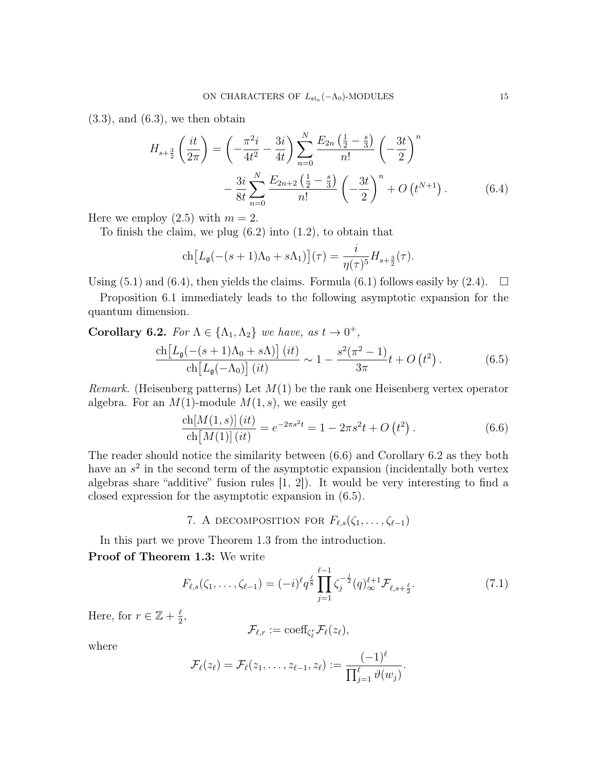$(3.3)$ , and  $(6.3)$ , we then obtain

$$
H_{s+\frac{3}{2}}\left(\frac{it}{2\pi}\right) = \left(-\frac{\pi^2 i}{4t^2} - \frac{3i}{4t}\right) \sum_{n=0}^{N} \frac{E_{2n}\left(\frac{1}{2} - \frac{s}{3}\right)}{n!} \left(-\frac{3t}{2}\right)^n - \frac{3i}{8t} \sum_{n=0}^{N} \frac{E_{2n+2}\left(\frac{1}{2} - \frac{s}{3}\right)}{n!} \left(-\frac{3t}{2}\right)^n + O\left(t^{N+1}\right).
$$
 (6.4)

Here we employ  $(2.5)$  with  $m = 2$ .

To finish the claim, we plug  $(6.2)$  into  $(1.2)$ , to obtain that

$$
\operatorname{ch}\left[L_{\mathfrak{g}}(-(s+1)\Lambda_0+s\Lambda_1)\right](\tau)=\frac{i}{\eta(\tau)^5}H_{s+\frac{3}{2}}(\tau).
$$

Using (5.1) and (6.4), then yields the claims. Formula (6.1) follows easily by (2.4).  $\Box$ 

Proposition 6.1 immediately leads to the following asymptotic expansion for the quantum dimension.

**Corollary 6.2.** For  $\Lambda \in \{\Lambda_1, \Lambda_2\}$  we have, as  $t \to 0^+$ ,

$$
\frac{\text{ch}\left[L_{\mathfrak{g}}(-(s+1)\Lambda_0+s\Lambda)\right](it)}{\text{ch}\left[L_{\mathfrak{g}}(-\Lambda_0)\right](it)} \sim 1 - \frac{s^2(\pi^2-1)}{3\pi}t + O\left(t^2\right). \tag{6.5}
$$

*Remark.* (Heisenberg patterns) Let  $M(1)$  be the rank one Heisenberg vertex operator algebra. For an  $M(1)$ -module  $M(1, s)$ , we easily get

$$
\frac{\text{ch}[M(1,s)](it)}{\text{ch}[M(1)](it)} = e^{-2\pi s^2 t} = 1 - 2\pi s^2 t + O(t^2).
$$
\n(6.6)

The reader should notice the similarity between (6.6) and Corollary 6.2 as they both have an  $s^2$  in the second term of the asymptotic expansion (incidentally both vertex algebras share "additive" fusion rules [1, 2]). It would be very interesting to find a closed expression for the asymptotic expansion in (6.5).

# 7. A DECOMPOSITION FOR  $F_{\ell,s}(\zeta_1, \ldots, \zeta_{\ell-1})$

In this part we prove Theorem 1.3 from the introduction. Proof of Theorem 1.3: We write

$$
F_{\ell,s}(\zeta_1,\ldots,\zeta_{\ell-1}) = (-i)^{\ell} q^{\frac{\ell}{8}} \prod_{j=1}^{\ell-1} \zeta_j^{-\frac{j}{2}}(q)_{\infty}^{\ell+1} \mathcal{F}_{\ell,s+\frac{\ell}{2}}.
$$
 (7.1)

Here, for  $r \in \mathbb{Z} + \frac{\ell}{2}$  $\frac{\ell}{2}$ ,

$$
\mathcal{F}_{\ell,r}:=\mathrm{coeff}_{\zeta_{\ell}^r}\mathcal{F}_{\ell}(z_{\ell}),
$$

where

$$
\mathcal{F}_{\ell}(z_{\ell})=\mathcal{F}_{\ell}(z_1,\ldots,z_{\ell-1},z_{\ell}):=\frac{(-1)^{\ell}}{\prod_{j=1}^{\ell}\vartheta(w_j)}.
$$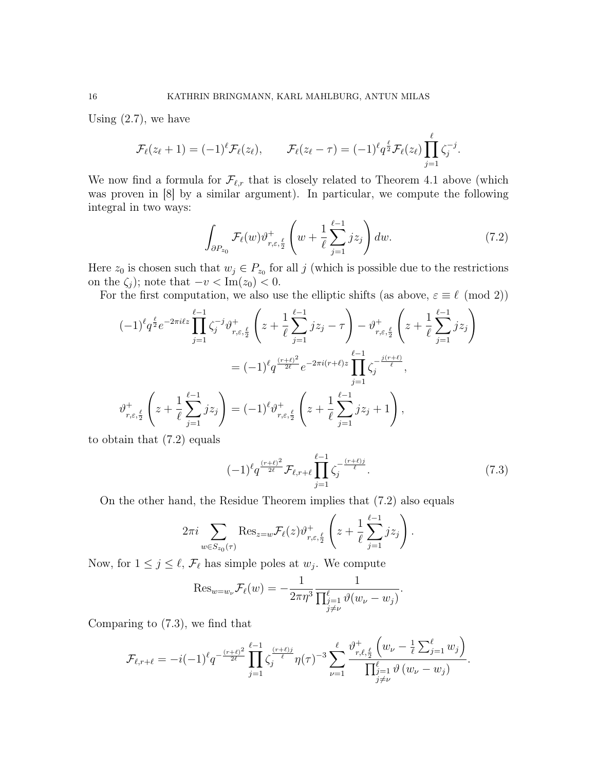Using (2.7), we have

$$
\mathcal{F}_{\ell}(z_{\ell}+1)=(-1)^{\ell}\mathcal{F}_{\ell}(z_{\ell}), \qquad \mathcal{F}_{\ell}(z_{\ell}-\tau)=(-1)^{\ell}q^{\frac{\ell}{2}}\mathcal{F}_{\ell}(z_{\ell})\prod_{j=1}^{\ell}\zeta_{j}^{-j}.
$$

We now find a formula for  $\mathcal{F}_{\ell,r}$  that is closely related to Theorem 4.1 above (which was proven in [8] by a similar argument). In particular, we compute the following integral in two ways:

$$
\int_{\partial P_{z_0}} \mathcal{F}_{\ell}(w) \vartheta_{r,\varepsilon,\frac{\ell}{2}}^+ \left( w + \frac{1}{\ell} \sum_{j=1}^{\ell-1} j z_j \right) dw.
$$
 (7.2)

Here  $z_0$  is chosen such that  $w_j \in P_{z_0}$  for all j (which is possible due to the restrictions on the  $\zeta_j$ ); note that  $-v < \text{Im}(z_0) < 0$ .

For the first computation, we also use the elliptic shifts (as above,  $\varepsilon \equiv \ell \pmod{2}$ )

$$
(-1)^{\ell} q^{\frac{\ell}{2}} e^{-2\pi i \ell z} \prod_{j=1}^{\ell-1} \zeta_j^{-j} \vartheta_{r,\varepsilon,\frac{\ell}{2}}^+ \left( z + \frac{1}{\ell} \sum_{j=1}^{\ell-1} j z_j - \tau \right) - \vartheta_{r,\varepsilon,\frac{\ell}{2}}^+ \left( z + \frac{1}{\ell} \sum_{j=1}^{\ell-1} j z_j \right)
$$
  

$$
= (-1)^{\ell} q^{\frac{(r+\ell)^2}{2\ell}} e^{-2\pi i (r+\ell) z} \prod_{j=1}^{\ell-1} \zeta_j^{-\frac{j(r+\ell)}{\ell}},
$$

$$
\vartheta_{r,\varepsilon,\frac{\ell}{2}}^+ \left( z + \frac{1}{\ell} \sum_{j=1}^{\ell-1} j z_j \right) = (-1)^{\ell} \vartheta_{r,\varepsilon,\frac{\ell}{2}}^+ \left( z + \frac{1}{\ell} \sum_{j=1}^{\ell-1} j z_j + 1 \right),
$$

to obtain that (7.2) equals

$$
(-1)^{\ell} q^{\frac{(r+\ell)^2}{2\ell}} \mathcal{F}_{\ell,r+\ell} \prod_{j=1}^{\ell-1} \zeta_j^{-\frac{(r+\ell)j}{\ell}}.
$$
 (7.3)

On the other hand, the Residue Theorem implies that (7.2) also equals

$$
2\pi i \sum_{w \in S_{z_0}(\tau)} \text{Res}_{z=w} \mathcal{F}_{\ell}(z) \vartheta_{r,\varepsilon,\frac{\ell}{2}}^+ \left( z + \frac{1}{\ell} \sum_{j=1}^{\ell-1} j z_j \right).
$$

Now, for  $1 \leq j \leq \ell$ ,  $\mathcal{F}_{\ell}$  has simple poles at  $w_j$ . We compute

$$
\operatorname{Res}_{w=w_{\nu}} \mathcal{F}_{\ell}(w) = -\frac{1}{2\pi\eta^3} \frac{1}{\prod_{\substack{j=1 \ j \neq \nu}}^{\ell} \vartheta(w_{\nu} - w_j)}.
$$

Comparing to (7.3), we find that

$$
\mathcal{F}_{\ell,r+\ell} = -i(-1)^{\ell} q^{-\frac{(r+\ell)^2}{2\ell}} \prod_{j=1}^{\ell-1} \zeta_j^{\frac{(r+\ell)j}{\ell}} \eta(\tau)^{-3} \sum_{\nu=1}^{\ell} \frac{\vartheta^+_{r,\ell,\frac{\ell}{2}}(w_{\nu} - \frac{1}{\ell} \sum_{j=1}^{\ell} w_j)}{\prod_{\substack{j=1 \ j \neq \nu}}^{\ell} \vartheta(w_{\nu} - w_j)}.
$$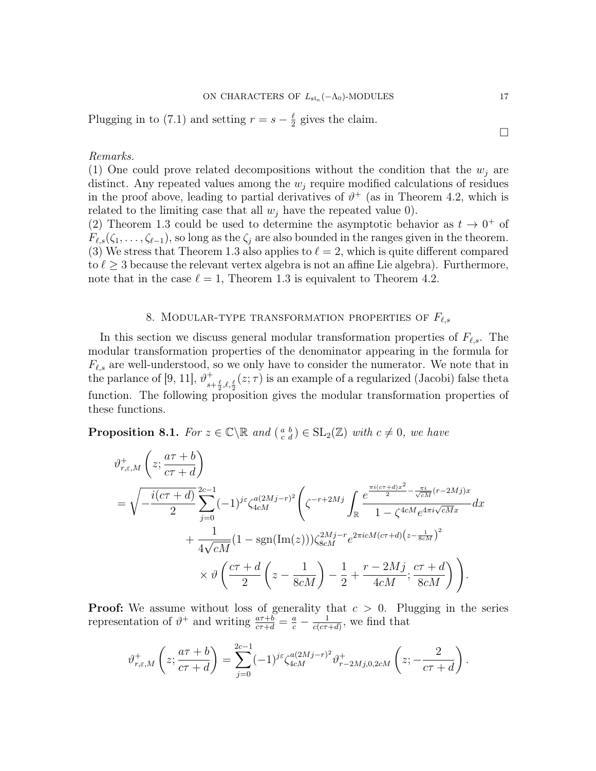Plugging in to (7.1) and setting  $r = s - \frac{\ell}{2}$  $\frac{\ell}{2}$  gives the claim.

### Remarks.

(1) One could prove related decompositions without the condition that the  $w_i$  are distinct. Any repeated values among the  $w_j$  require modified calculations of residues in the proof above, leading to partial derivatives of  $\vartheta^+$  (as in Theorem 4.2, which is related to the limiting case that all  $w_i$  have the repeated value 0).

(2) Theorem 1.3 could be used to determine the asymptotic behavior as  $t \to 0^+$  of  $F_{\ell,s}(\zeta_1,\ldots,\zeta_{\ell-1}),$  so long as the  $\zeta_j$  are also bounded in the ranges given in the theorem. (3) We stress that Theorem 1.3 also applies to  $\ell = 2$ , which is quite different compared to  $\ell \geq 3$  because the relevant vertex algebra is not an affine Lie algebra). Furthermore, note that in the case  $\ell = 1$ , Theorem 1.3 is equivalent to Theorem 4.2.

# 8. MODULAR-TYPE TRANSFORMATION PROPERTIES OF  $F_{\ell,s}$

In this section we discuss general modular transformation properties of  $F_{\ell,s}$ . The modular transformation properties of the denominator appearing in the formula for  $F_{\ell,s}$  are well-understood, so we only have to consider the numerator. We note that in the parlance of [9, 11],  $\vartheta^+$  $s+\frac{\ell}{2}, \ell, \frac{\ell}{2}$  (z;  $\tau$ ) is an example of a regularized (Jacobi) false theta function. The following proposition gives the modular transformation properties of these functions.

**Proposition 8.1.** For  $z \in \mathbb{C} \setminus \mathbb{R}$  and  $\begin{pmatrix} a & b \\ c & d \end{pmatrix} \in SL_2(\mathbb{Z})$  with  $c \neq 0$ , we have

$$
\vartheta_{r,\varepsilon,M}^{+}\left(z;\frac{a\tau+b}{c\tau+d}\right)
$$
\n
$$
=\sqrt{-\frac{i(c\tau+d)}{2}}\sum_{j=0}^{2c-1}(-1)^{j\varepsilon}\zeta_{4cM}^{a(2Mj-r)^{2}}\left(\zeta^{-r+2Mj}\int_{\mathbb{R}}\frac{e^{\frac{\pi i(c\tau+d)x^{2}}{2}-\frac{\pi i}{\sqrt{cM}}(r-2Mj)x}}{1-\zeta^{4cM}e^{4\pi i\sqrt{cM}x}}dx+\frac{1}{4\sqrt{cM}}(1-\text{sgn}(\text{Im}(z)))\zeta_{8cM}^{2Mj-r}e^{2\pi i cM(c\tau+d)\left(z-\frac{1}{8cM}\right)^{2}}\times\vartheta\left(\frac{c\tau+d}{2}\left(z-\frac{1}{8cM}\right)-\frac{1}{2}+\frac{r-2Mj}{4cM};\frac{c\tau+d}{8cM}\right)\right).
$$

**Proof:** We assume without loss of generality that  $c > 0$ . Plugging in the series representation of  $\vartheta^+$  and writing  $\frac{a\tau+b}{c\tau+d} = \frac{a}{c} - \frac{1}{c(c\tau+a)}$  $\frac{1}{c(c\tau+d)}$ , we find that

$$
\vartheta_{r,\varepsilon,M}^{+}\left(z;\frac{a\tau+b}{c\tau+d}\right) = \sum_{j=0}^{2c-1} (-1)^{j\varepsilon} \zeta_{4cM}^{a(2Mj-r)^2} \vartheta_{r-2Mj,0,2cM}^{+}\left(z;\frac{2}{c\tau+d}\right).
$$

 $\Box$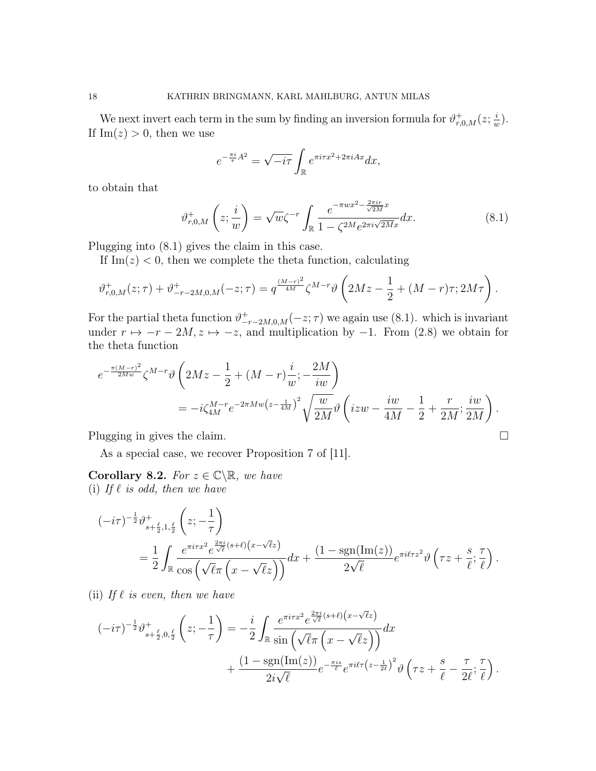We next invert each term in the sum by finding an inversion formula for  $\vartheta_{r,0,M}^+(z;\frac{1}{u})$  $\frac{i}{w}$ . If  $\text{Im}(z) > 0$ , then we use

$$
e^{-\frac{\pi i}{\tau}A^2} = \sqrt{-i\tau} \int_{\mathbb{R}} e^{\pi i \tau x^2 + 2\pi i Ax} dx,
$$

to obtain that

$$
\vartheta_{r,0,M}^+ \left( z; \frac{i}{w} \right) = \sqrt{w} \zeta^{-r} \int_{\mathbb{R}} \frac{e^{-\pi w x^2 - \frac{2\pi i r}{\sqrt{2M}} x}}{1 - \zeta^{2M} e^{2\pi i \sqrt{2M} x}} dx. \tag{8.1}
$$

Plugging into (8.1) gives the claim in this case.

If  $Im(z)$  < 0, then we complete the theta function, calculating

$$
\vartheta_{r,0,M}^+(z;\tau) + \vartheta_{-r-2M,0,M}^+(-z;\tau) = q^{\frac{(M-r)^2}{4M}} \zeta^{M-r} \vartheta \left(2Mz - \frac{1}{2} + (M-r)\tau; 2M\tau\right).
$$

For the partial theta function  $\vartheta_{-r-2M,0,M}^+(-z;\tau)$  we again use (8.1). which is invariant under  $r \mapsto -r - 2M$ ,  $z \mapsto -z$ , and multiplication by  $-1$ . From (2.8) we obtain for the theta function

$$
e^{-\frac{\pi (M-r)^2}{2Mw}} \zeta^{M-r} \vartheta \left(2Mz - \frac{1}{2} + (M-r)\frac{i}{w}; -\frac{2M}{iw}\right)
$$
  
= 
$$
-i\zeta_{4M}^{M-r} e^{-2\pi Mw(z-\frac{1}{4M})^2} \sqrt{\frac{w}{2M}} \vartheta \left(izw - \frac{iw}{4M} - \frac{1}{2} + \frac{r}{2M}; \frac{iw}{2M}\right).
$$

Plugging in gives the claim.

As a special case, we recover Proposition 7 of [11].

Corollary 8.2. For  $z \in \mathbb{C} \backslash \mathbb{R}$ , we have (i) If  $\ell$  is odd, then we have

$$
\begin{split} (-i\tau)^{-\frac{1}{2}} \vartheta_{s+\frac{\ell}{2},1,\frac{\ell}{2}}^{+} \left( z; -\frac{1}{\tau} \right) \\ &= \frac{1}{2} \int_{\mathbb{R}} \frac{e^{\pi i \tau x^2} e^{\frac{2\pi i}{\sqrt{\ell}} (s+\ell) \left( x - \sqrt{\ell} z \right)}}{\cos \left( \sqrt{\ell} \pi \left( x - \sqrt{\ell} z \right) \right)} dx + \frac{(1 - \text{sgn}(\text{Im}(z))}{2\sqrt{\ell}} e^{\pi i \ell \tau z^2} \vartheta \left( \tau z + \frac{s}{\ell}; \frac{\tau}{\ell} \right). \end{split}
$$

(ii) If  $\ell$  is even, then we have

$$
(-i\tau)^{-\frac{1}{2}}\vartheta_{s+\frac{\ell}{2},0,\frac{\ell}{2}}^{+}\left(z;-\frac{1}{\tau}\right) = -\frac{i}{2} \int_{\mathbb{R}} \frac{e^{\pi i\tau x^2} e^{\frac{2\pi i}{\sqrt{\ell}}(s+\ell)(x-\sqrt{\ell}z)}}{\sin\left(\sqrt{\ell}\pi\left(x-\sqrt{\ell}z\right)\right)} dx + \frac{(1-\text{sgn}(\text{Im}(z))}{2i\sqrt{\ell}} e^{-\frac{\pi i s}{\ell}} e^{\pi i \ell \tau \left(z-\frac{1}{2\ell}\right)^2} \vartheta\left(\tau z + \frac{s}{\ell} - \frac{\tau}{2\ell};\frac{\tau}{\ell}\right).
$$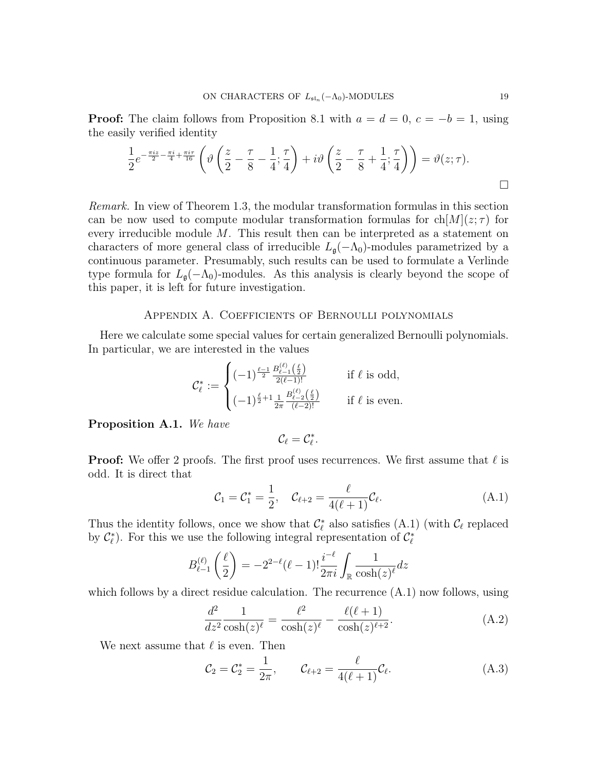**Proof:** The claim follows from Proposition 8.1 with  $a = d = 0$ ,  $c = -b = 1$ , using the easily verified identity

$$
\frac{1}{2}e^{-\frac{\pi iz}{2}-\frac{\pi i}{4}+\frac{\pi i\tau}{16}}\left(\vartheta\left(\frac{z}{2}-\frac{\tau}{8}-\frac{1}{4};\frac{\tau}{4}\right)+i\vartheta\left(\frac{z}{2}-\frac{\tau}{8}+\frac{1}{4};\frac{\tau}{4}\right)\right)=\vartheta(z;\tau).
$$

Remark. In view of Theorem 1.3, the modular transformation formulas in this section can be now used to compute modular transformation formulas for  $\text{ch}[M](z;\tau)$  for every irreducible module M. This result then can be interpreted as a statement on characters of more general class of irreducible  $L_{\mathfrak{g}}(-\Lambda_0)$ -modules parametrized by a continuous parameter. Presumably, such results can be used to formulate a Verlinde type formula for  $L_{\mathfrak{g}}(-\Lambda_0)$ -modules. As this analysis is clearly beyond the scope of this paper, it is left for future investigation.

## Appendix A. Coefficients of Bernoulli polynomials

Here we calculate some special values for certain generalized Bernoulli polynomials. In particular, we are interested in the values

$$
\mathcal{C}_{\ell}^{*} := \begin{cases}\n(-1)^{\frac{\ell-1}{2}} \frac{B_{\ell-1}^{(\ell)}(\frac{\ell}{2})}{2(\ell-1)!} & \text{if } \ell \text{ is odd,} \\
(-1)^{\frac{\ell}{2}+1} \frac{1}{2\pi} \frac{B_{\ell-2}^{(\ell)}(\frac{\ell}{2})}{(\ell-2)!} & \text{if } \ell \text{ is even.} \n\end{cases}
$$

Proposition A.1. We have

$$
\mathcal{C}_\ell=\mathcal{C}_\ell^*.
$$

**Proof:** We offer 2 proofs. The first proof uses recurrences. We first assume that  $\ell$  is odd. It is direct that

$$
C_1 = C_1^* = \frac{1}{2}, \quad C_{\ell+2} = \frac{\ell}{4(\ell+1)} C_{\ell}.
$$
 (A.1)

Thus the identity follows, once we show that  $\mathcal{C}_{\ell}^{*}$  also satisfies (A.1) (with  $\mathcal{C}_{\ell}$  replaced by  $\mathcal{C}_{\ell}^*$ ). For this we use the following integral representation of  $\mathcal{C}_{\ell}^*$ 

$$
B_{\ell-1}^{(\ell)}\left(\frac{\ell}{2}\right) = -2^{2-\ell}(\ell-1)!\frac{i^{-\ell}}{2\pi i}\int_{\mathbb{R}}\frac{1}{\cosh(z)^{\ell}}dz
$$

which follows by a direct residue calculation. The recurrence  $(A.1)$  now follows, using

$$
\frac{d^2}{dz^2} \frac{1}{\cosh(z)^\ell} = \frac{\ell^2}{\cosh(z)^\ell} - \frac{\ell(\ell+1)}{\cosh(z)^{\ell+2}}.
$$
 (A.2)

We next assume that  $\ell$  is even. Then

$$
C_2 = C_2^* = \frac{1}{2\pi}, \qquad C_{\ell+2} = \frac{\ell}{4(\ell+1)} C_{\ell}.
$$
 (A.3)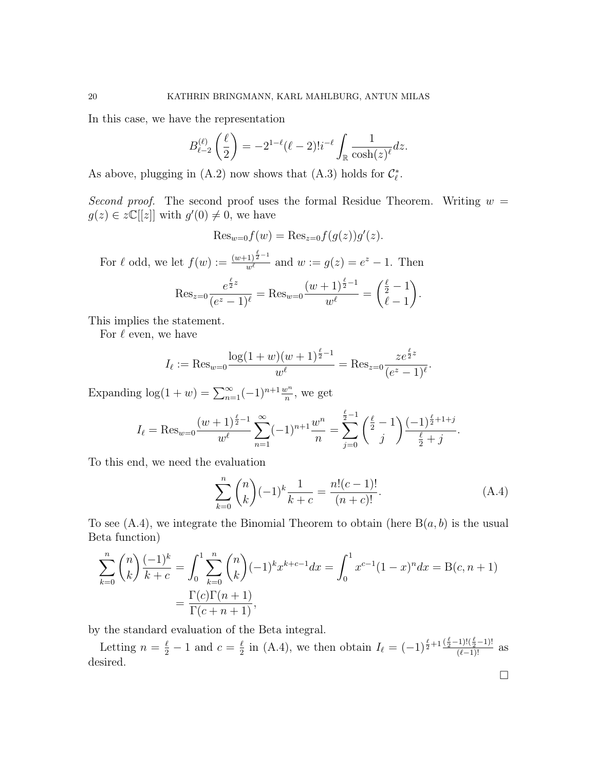In this case, we have the representation

$$
B_{\ell-2}^{(\ell)}\left(\frac{\ell}{2}\right) = -2^{1-\ell}(\ell-2)!i^{-\ell}\int_{\mathbb{R}}\frac{1}{\cosh(z)^{\ell}}dz.
$$

As above, plugging in (A.2) now shows that (A.3) holds for  $\mathcal{C}_{\ell}^*$ .

Second proof. The second proof uses the formal Residue Theorem. Writing  $w =$  $g(z) \in z\mathbb{C}[[z]]$  with  $g'(0) \neq 0$ , we have

$$
\mathrm{Res}_{w=0} f(w) = \mathrm{Res}_{z=0} f(g(z))g'(z).
$$

For  $\ell$  odd, we let  $f(w) := \frac{(w+1)^{\frac{\ell}{2}-1}}{w^{\ell}}$  and  $w := g(z) = e^z - 1$ . Then

$$
\operatorname{Res}_{z=0} \frac{e^{\frac{\ell}{2}z}}{(e^z - 1)^{\ell}} = \operatorname{Res}_{w=0} \frac{(w+1)^{\frac{\ell}{2}-1}}{w^{\ell}} = \binom{\frac{\ell}{2}-1}{\ell-1}.
$$

This implies the statement.

For  $\ell$  even, we have

$$
I_{\ell} := \text{Res}_{w=0} \frac{\log(1+w)(w+1)^{\frac{\ell}{2}-1}}{w^{\ell}} = \text{Res}_{z=0} \frac{ze^{\frac{\ell}{2}z}}{(e^z-1)^{\ell}}.
$$

Expanding  $\log(1 + w) = \sum_{n=1}^{\infty} (-1)^{n+1} \frac{w^n}{n}$ , we get

$$
I_{\ell} = \text{Res}_{w=0} \frac{(w+1)^{\frac{\ell}{2}-1}}{w^{\ell}} \sum_{n=1}^{\infty} (-1)^{n+1} \frac{w^n}{n} = \sum_{j=0}^{\frac{\ell}{2}-1} {\binom{\frac{\ell}{2}-1}{j}} \frac{(-1)^{\frac{\ell}{2}+1+j}}{\frac{\ell}{2}+j}
$$

To this end, we need the evaluation

$$
\sum_{k=0}^{n} \binom{n}{k} (-1)^k \frac{1}{k+c} = \frac{n!(c-1)!}{(n+c)!}.
$$
 (A.4)

To see  $(A.4)$ , we integrate the Binomial Theorem to obtain (here  $B(a, b)$ ) is the usual Beta function)

$$
\sum_{k=0}^{n} \binom{n}{k} \frac{(-1)^k}{k+c} = \int_0^1 \sum_{k=0}^{n} \binom{n}{k} (-1)^k x^{k+c-1} dx = \int_0^1 x^{c-1} (1-x)^n dx = B(c, n+1)
$$

$$
= \frac{\Gamma(c)\Gamma(n+1)}{\Gamma(c+n+1)},
$$

by the standard evaluation of the Beta integral.

Letting  $n = \frac{\ell}{2} - 1$  and  $c = \frac{\ell}{2}$  $\frac{\ell}{2}$  in (A.4), we then obtain  $I_{\ell} = (-1)^{\frac{\ell}{2}+1} \frac{(\frac{\ell}{2}-1)!(\frac{\ell}{2}-1)!}{(\ell-1)!}$  as desired.

 $\Box$ 

.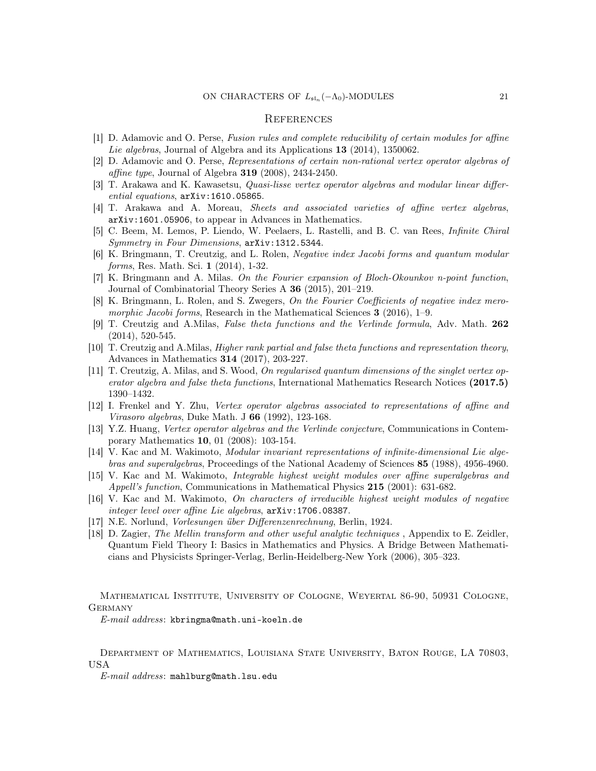### **REFERENCES**

- [1] D. Adamovic and O. Perse, Fusion rules and complete reducibility of certain modules for affine Lie algebras, Journal of Algebra and its Applications 13 (2014), 1350062.
- [2] D. Adamovic and O. Perse, Representations of certain non-rational vertex operator algebras of affine type, Journal of Algebra 319 (2008), 2434-2450.
- [3] T. Arakawa and K. Kawasetsu, Quasi-lisse vertex operator algebras and modular linear differential equations, arXiv:1610.05865.
- [4] T. Arakawa and A. Moreau, Sheets and associated varieties of affine vertex algebras, arXiv:1601.05906, to appear in Advances in Mathematics.
- [5] C. Beem, M. Lemos, P. Liendo, W. Peelaers, L. Rastelli, and B. C. van Rees, Infinite Chiral Symmetry in Four Dimensions, arXiv:1312.5344.
- [6] K. Bringmann, T. Creutzig, and L. Rolen, Negative index Jacobi forms and quantum modular forms, Res. Math. Sci. 1 (2014), 1-32.
- [7] K. Bringmann and A. Milas. On the Fourier expansion of Bloch-Okounkov n-point function, Journal of Combinatorial Theory Series A 36 (2015), 201–219.
- [8] K. Bringmann, L. Rolen, and S. Zwegers, On the Fourier Coefficients of negative index meromorphic Jacobi forms, Research in the Mathematical Sciences  $3$  (2016), 1–9.
- [9] T. Creutzig and A.Milas, False theta functions and the Verlinde formula, Adv. Math. 262 (2014), 520-545.
- [10] T. Creutzig and A.Milas, Higher rank partial and false theta functions and representation theory, Advances in Mathematics 314 (2017), 203-227.
- [11] T. Creutzig, A. Milas, and S. Wood, On regularised quantum dimensions of the singlet vertex operator algebra and false theta functions, International Mathematics Research Notices (2017.5) 1390–1432.
- [12] I. Frenkel and Y. Zhu, Vertex operator algebras associated to representations of affine and Virasoro algebras, Duke Math. J 66 (1992), 123-168.
- [13] Y.Z. Huang, Vertex operator algebras and the Verlinde conjecture, Communications in Contemporary Mathematics 10, 01 (2008): 103-154.
- [14] V. Kac and M. Wakimoto, Modular invariant representations of infinite-dimensional Lie algebras and superalgebras, Proceedings of the National Academy of Sciences 85 (1988), 4956-4960.
- [15] V. Kac and M. Wakimoto, Integrable highest weight modules over affine superalgebras and Appell's function, Communications in Mathematical Physics 215 (2001): 631-682.
- [16] V. Kac and M. Wakimoto, On characters of irreducible highest weight modules of negative integer level over affine Lie algebras, arXiv:1706.08387.
- [17] N.E. Norlund, Vorlesungen über Differenzenrechnung, Berlin, 1924.
- [18] D. Zagier, The Mellin transform and other useful analytic techniques , Appendix to E. Zeidler, Quantum Field Theory I: Basics in Mathematics and Physics. A Bridge Between Mathematicians and Physicists Springer-Verlag, Berlin-Heidelberg-New York (2006), 305–323.

Mathematical Institute, University of Cologne, Weyertal 86-90, 50931 Cologne, **GERMANY** 

E-mail address: kbringma@math.uni-koeln.de

Department of Mathematics, Louisiana State University, Baton Rouge, LA 70803, USA

E-mail address: mahlburg@math.lsu.edu